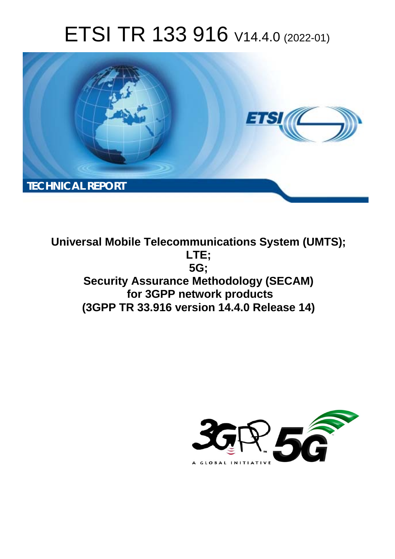# ETSI TR 133 916 V14.4.0 (2022-01)



**Universal Mobile Telecommunications System (UMTS); LTE; 5G; Security Assurance Methodology (SECAM) for 3GPP network products (3GPP TR 33.916 version 14.4.0 Release 14)** 

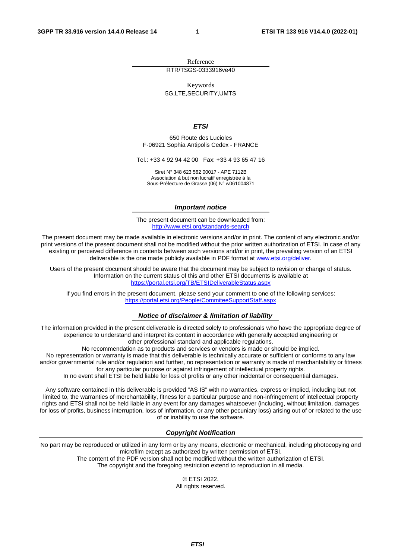Reference RTR/TSGS-0333916ve40

Keywords

5G,LTE,SECURITY,UMTS

*ETSI* 

650 Route des Lucioles F-06921 Sophia Antipolis Cedex - FRANCE

Tel.: +33 4 92 94 42 00 Fax: +33 4 93 65 47 16

Siret N° 348 623 562 00017 - APE 7112B Association à but non lucratif enregistrée à la Sous-Préfecture de Grasse (06) N° w061004871

#### *Important notice*

The present document can be downloaded from: <http://www.etsi.org/standards-search>

The present document may be made available in electronic versions and/or in print. The content of any electronic and/or print versions of the present document shall not be modified without the prior written authorization of ETSI. In case of any existing or perceived difference in contents between such versions and/or in print, the prevailing version of an ETSI deliverable is the one made publicly available in PDF format at [www.etsi.org/deliver](http://www.etsi.org/deliver).

Users of the present document should be aware that the document may be subject to revision or change of status. Information on the current status of this and other ETSI documents is available at <https://portal.etsi.org/TB/ETSIDeliverableStatus.aspx>

If you find errors in the present document, please send your comment to one of the following services: <https://portal.etsi.org/People/CommiteeSupportStaff.aspx>

#### *Notice of disclaimer & limitation of liability*

The information provided in the present deliverable is directed solely to professionals who have the appropriate degree of experience to understand and interpret its content in accordance with generally accepted engineering or other professional standard and applicable regulations.

No recommendation as to products and services or vendors is made or should be implied.

No representation or warranty is made that this deliverable is technically accurate or sufficient or conforms to any law and/or governmental rule and/or regulation and further, no representation or warranty is made of merchantability or fitness for any particular purpose or against infringement of intellectual property rights.

In no event shall ETSI be held liable for loss of profits or any other incidental or consequential damages.

Any software contained in this deliverable is provided "AS IS" with no warranties, express or implied, including but not limited to, the warranties of merchantability, fitness for a particular purpose and non-infringement of intellectual property rights and ETSI shall not be held liable in any event for any damages whatsoever (including, without limitation, damages for loss of profits, business interruption, loss of information, or any other pecuniary loss) arising out of or related to the use of or inability to use the software.

#### *Copyright Notification*

No part may be reproduced or utilized in any form or by any means, electronic or mechanical, including photocopying and microfilm except as authorized by written permission of ETSI. The content of the PDF version shall not be modified without the written authorization of ETSI.

The copyright and the foregoing restriction extend to reproduction in all media.

© ETSI 2022. All rights reserved.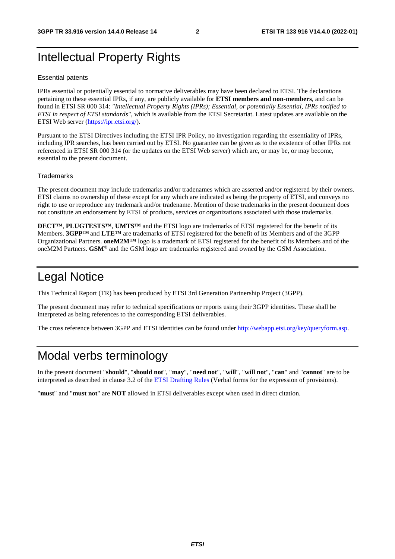## Intellectual Property Rights

#### Essential patents

IPRs essential or potentially essential to normative deliverables may have been declared to ETSI. The declarations pertaining to these essential IPRs, if any, are publicly available for **ETSI members and non-members**, and can be found in ETSI SR 000 314: *"Intellectual Property Rights (IPRs); Essential, or potentially Essential, IPRs notified to ETSI in respect of ETSI standards"*, which is available from the ETSI Secretariat. Latest updates are available on the ETSI Web server ([https://ipr.etsi.org/\)](https://ipr.etsi.org/).

Pursuant to the ETSI Directives including the ETSI IPR Policy, no investigation regarding the essentiality of IPRs, including IPR searches, has been carried out by ETSI. No guarantee can be given as to the existence of other IPRs not referenced in ETSI SR 000 314 (or the updates on the ETSI Web server) which are, or may be, or may become, essential to the present document.

#### **Trademarks**

The present document may include trademarks and/or tradenames which are asserted and/or registered by their owners. ETSI claims no ownership of these except for any which are indicated as being the property of ETSI, and conveys no right to use or reproduce any trademark and/or tradename. Mention of those trademarks in the present document does not constitute an endorsement by ETSI of products, services or organizations associated with those trademarks.

**DECT™**, **PLUGTESTS™**, **UMTS™** and the ETSI logo are trademarks of ETSI registered for the benefit of its Members. **3GPP™** and **LTE™** are trademarks of ETSI registered for the benefit of its Members and of the 3GPP Organizational Partners. **oneM2M™** logo is a trademark of ETSI registered for the benefit of its Members and of the oneM2M Partners. **GSM**® and the GSM logo are trademarks registered and owned by the GSM Association.

## Legal Notice

This Technical Report (TR) has been produced by ETSI 3rd Generation Partnership Project (3GPP).

The present document may refer to technical specifications or reports using their 3GPP identities. These shall be interpreted as being references to the corresponding ETSI deliverables.

The cross reference between 3GPP and ETSI identities can be found under<http://webapp.etsi.org/key/queryform.asp>.

## Modal verbs terminology

In the present document "**should**", "**should not**", "**may**", "**need not**", "**will**", "**will not**", "**can**" and "**cannot**" are to be interpreted as described in clause 3.2 of the [ETSI Drafting Rules](https://portal.etsi.org/Services/editHelp!/Howtostart/ETSIDraftingRules.aspx) (Verbal forms for the expression of provisions).

"**must**" and "**must not**" are **NOT** allowed in ETSI deliverables except when used in direct citation.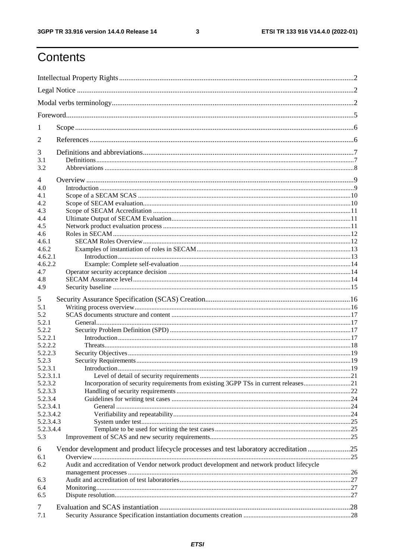$\mathbf{3}$ 

## Contents

| 1                     |                                                                                             |  |  |  |  |
|-----------------------|---------------------------------------------------------------------------------------------|--|--|--|--|
| 2                     |                                                                                             |  |  |  |  |
| 3                     |                                                                                             |  |  |  |  |
| 3.1<br>3.2            |                                                                                             |  |  |  |  |
|                       |                                                                                             |  |  |  |  |
| $\overline{4}$<br>4.0 |                                                                                             |  |  |  |  |
|                       |                                                                                             |  |  |  |  |
| 4.1                   |                                                                                             |  |  |  |  |
| 4.2                   |                                                                                             |  |  |  |  |
| 4.3                   |                                                                                             |  |  |  |  |
| 4.4                   |                                                                                             |  |  |  |  |
| 4.5                   |                                                                                             |  |  |  |  |
| 4.6                   |                                                                                             |  |  |  |  |
| 4.6.1                 |                                                                                             |  |  |  |  |
| 4.6.2                 |                                                                                             |  |  |  |  |
| 4.6.2.1               |                                                                                             |  |  |  |  |
| 4.6.2.2               |                                                                                             |  |  |  |  |
| 4.7                   |                                                                                             |  |  |  |  |
| 4.8                   |                                                                                             |  |  |  |  |
| 4.9                   |                                                                                             |  |  |  |  |
| 5                     |                                                                                             |  |  |  |  |
| 5.1                   |                                                                                             |  |  |  |  |
| 5.2                   |                                                                                             |  |  |  |  |
| 5.2.1                 |                                                                                             |  |  |  |  |
|                       |                                                                                             |  |  |  |  |
| 5.2.2                 |                                                                                             |  |  |  |  |
| 5.2.2.1               |                                                                                             |  |  |  |  |
| 5.2.2.2               |                                                                                             |  |  |  |  |
| 5.2.2.3               |                                                                                             |  |  |  |  |
| 5.2.3                 |                                                                                             |  |  |  |  |
| 5.2.3.1               |                                                                                             |  |  |  |  |
| 5.2.3.1.1             |                                                                                             |  |  |  |  |
| 5.2.3.2               | Incorporation of security requirements from existing 3GPP TSs in current releases21         |  |  |  |  |
| 5.2.3.3               |                                                                                             |  |  |  |  |
| 5.2.3.4               |                                                                                             |  |  |  |  |
| 5.2.3.4.1             |                                                                                             |  |  |  |  |
| 5.2.3.4.2             |                                                                                             |  |  |  |  |
| 5.2.3.4.3             |                                                                                             |  |  |  |  |
| 5.2.3.4.4             |                                                                                             |  |  |  |  |
| 5.3                   |                                                                                             |  |  |  |  |
|                       |                                                                                             |  |  |  |  |
| 6                     | Vendor development and product lifecycle processes and test laboratory accreditation 25     |  |  |  |  |
| 6.1                   |                                                                                             |  |  |  |  |
| 6.2                   | Audit and accreditation of Vendor network product development and network product lifecycle |  |  |  |  |
|                       |                                                                                             |  |  |  |  |
| 6.3                   |                                                                                             |  |  |  |  |
| 6.4                   |                                                                                             |  |  |  |  |
| 6.5                   |                                                                                             |  |  |  |  |
|                       |                                                                                             |  |  |  |  |
| 7                     |                                                                                             |  |  |  |  |
| 7.1                   |                                                                                             |  |  |  |  |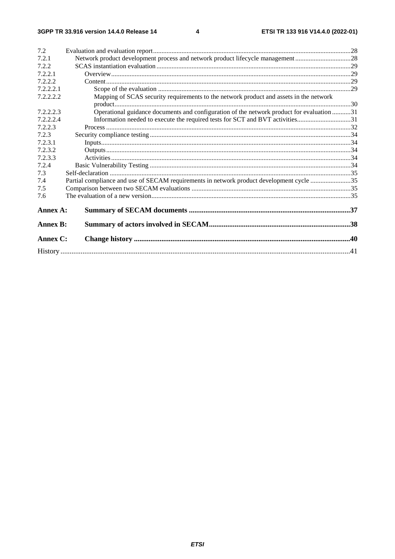$\overline{\mathbf{4}}$ 

| 7.2             |                                                                                          |  |  |  |  |
|-----------------|------------------------------------------------------------------------------------------|--|--|--|--|
| 7.2.1           | Network product development process and network product lifecycle management28           |  |  |  |  |
| 7.2.2           |                                                                                          |  |  |  |  |
| 7.2.2.1         |                                                                                          |  |  |  |  |
| 7.2.2.2         |                                                                                          |  |  |  |  |
| 7.2.2.2.1       |                                                                                          |  |  |  |  |
| 7.2.2.2.2       | Mapping of SCAS security requirements to the network product and assets in the network   |  |  |  |  |
|                 |                                                                                          |  |  |  |  |
| 7.2.2.2.3       | Operational guidance documents and configuration of the network product for evaluation31 |  |  |  |  |
| 7.2.2.2.4       | Information needed to execute the required tests for SCT and BVT activities31            |  |  |  |  |
| 7.2.2.3         |                                                                                          |  |  |  |  |
| 7.2.3           |                                                                                          |  |  |  |  |
| 7.2.3.1         |                                                                                          |  |  |  |  |
| 7.2.3.2         |                                                                                          |  |  |  |  |
| 7.2.3.3         |                                                                                          |  |  |  |  |
| 7.2.4           |                                                                                          |  |  |  |  |
| 7.3             |                                                                                          |  |  |  |  |
| 7.4             | Partial compliance and use of SECAM requirements in network product development cycle 35 |  |  |  |  |
| 7.5             |                                                                                          |  |  |  |  |
| 7.6             |                                                                                          |  |  |  |  |
| Annex A:        |                                                                                          |  |  |  |  |
| <b>Annex B:</b> |                                                                                          |  |  |  |  |
| Annex C:        |                                                                                          |  |  |  |  |
|                 |                                                                                          |  |  |  |  |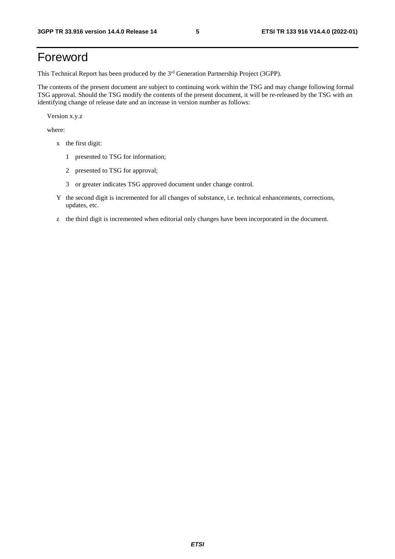## Foreword

This Technical Report has been produced by the 3<sup>rd</sup> Generation Partnership Project (3GPP).

The contents of the present document are subject to continuing work within the TSG and may change following formal TSG approval. Should the TSG modify the contents of the present document, it will be re-released by the TSG with an identifying change of release date and an increase in version number as follows:

Version x.y.z

where:

- x the first digit:
	- 1 presented to TSG for information;
	- 2 presented to TSG for approval;
	- 3 or greater indicates TSG approved document under change control.
- Y the second digit is incremented for all changes of substance, i.e. technical enhancements, corrections, updates, etc.
- z the third digit is incremented when editorial only changes have been incorporated in the document.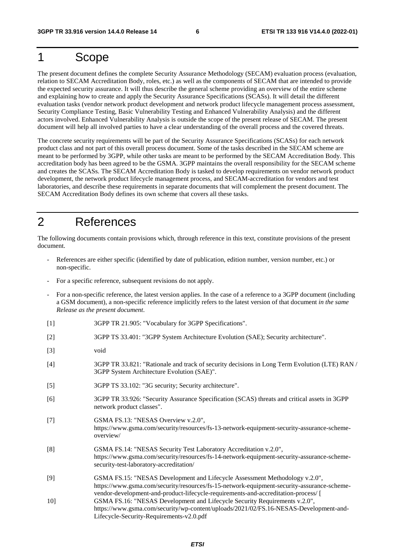## 1 Scope

The present document defines the complete Security Assurance Methodology (SECAM) evaluation process (evaluation, relation to SECAM Accreditation Body, roles, etc.) as well as the components of SECAM that are intended to provide the expected security assurance. It will thus describe the general scheme providing an overview of the entire scheme and explaining how to create and apply the Security Assurance Specifications (SCASs). It will detail the different evaluation tasks (vendor network product development and network product lifecycle management process assessment, Security Compliance Testing, Basic Vulnerability Testing and Enhanced Vulnerability Analysis) and the different actors involved. Enhanced Vulnerability Analysis is outside the scope of the present release of SECAM. The present document will help all involved parties to have a clear understanding of the overall process and the covered threats.

The concrete security requirements will be part of the Security Assurance Specifications (SCASs) for each network product class and not part of this overall process document. Some of the tasks described in the SECAM scheme are meant to be performed by 3GPP, while other tasks are meant to be performed by the SECAM Accreditation Body. This accreditation body has been agreed to be the GSMA. 3GPP maintains the overall responsibility for the SECAM scheme and creates the SCASs. The SECAM Accreditation Body is tasked to develop requirements on vendor network product development, the network product lifecycle management process, and SECAM-accreditation for vendors and test laboratories, and describe these requirements in separate documents that will complement the present document. The SECAM Accreditation Body defines its own scheme that covers all these tasks.

## 2 References

The following documents contain provisions which, through reference in this text, constitute provisions of the present document.

- References are either specific (identified by date of publication, edition number, version number, etc.) or non-specific.
- For a specific reference, subsequent revisions do not apply.
- For a non-specific reference, the latest version applies. In the case of a reference to a 3GPP document (including a GSM document), a non-specific reference implicitly refers to the latest version of that document *in the same Release as the present document*.
- [1] 3GPP TR 21.905: "Vocabulary for 3GPP Specifications".
- [2] 3GPP TS 33.401: "3GPP System Architecture Evolution (SAE); Security architecture".
- [3] void
- [4] 3GPP TR 33.821: "Rationale and track of security decisions in Long Term Evolution (LTE) RAN / 3GPP System Architecture Evolution (SAE)".
- [5] 3GPP TS 33.102: "3G security; Security architecture".
- [6] 3GPP TR 33.926: "Security Assurance Specification (SCAS) threats and critical assets in 3GPP network product classes".
- [7] GSMA FS.13: "NESAS Overview v.2.0", https://www.gsma.com/security/resources/fs-13-network-equipment-security-assurance-schemeoverview/
- [8] GSMA FS.14: "NESAS Security Test Laboratory Accreditation v.2.0", https://www.gsma.com/security/resources/fs-14-network-equipment-security-assurance-schemesecurity-test-laboratory-accreditation/
- [9] GSMA FS.15: "NESAS Development and Lifecycle Assessment Methodology v.2.0", https://www.gsma.com/security/resources/fs-15-network-equipment-security-assurance-schemevendor-development-and-product-lifecycle-requirements-and-accreditation-process/ [ 10] GSMA FS.16: "NESAS Development and Lifecycle Security Requirements v.2.0", https://www.gsma.com/security/wp-content/uploads/2021/02/FS.16-NESAS-Development-and-
	- Lifecycle-Security-Requirements-v2.0.pdf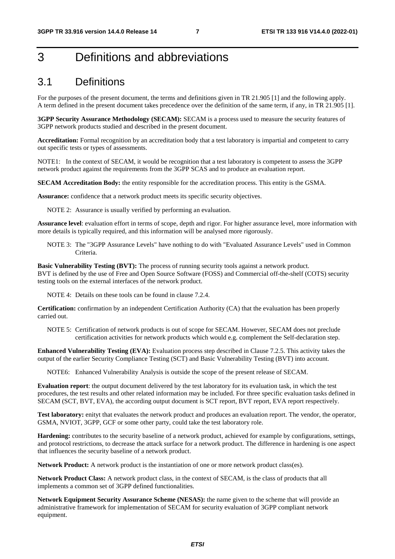## 3 Definitions and abbreviations

### 3.1 Definitions

For the purposes of the present document, the terms and definitions given in TR 21.905 [1] and the following apply. A term defined in the present document takes precedence over the definition of the same term, if any, in TR 21.905 [1].

**3GPP Security Assurance Methodology (SECAM):** SECAM is a process used to measure the security features of 3GPP network products studied and described in the present document.

**Accreditation:** Formal recognition by an accreditation body that a test laboratory is impartial and competent to carry out specific tests or types of assessments.

NOTE1: In the context of SECAM, it would be recognition that a test laboratory is competent to assess the 3GPP network product against the requirements from the 3GPP SCAS and to produce an evaluation report.

**SECAM Accreditation Body:** the entity responsible for the accreditation process. This entity is the GSMA.

**Assurance:** confidence that a network product meets its specific security objectives.

NOTE 2: Assurance is usually verified by performing an evaluation.

**Assurance level**: evaluation effort in terms of scope, depth and rigor. For higher assurance level, more information with more details is typically required, and this information will be analysed more rigorously.

NOTE 3: The "3GPP Assurance Levels" have nothing to do with "Evaluated Assurance Levels" used in Common Criteria.

**Basic Vulnerability Testing (BVT):** The process of running security tools against a network product. BVT is defined by the use of Free and Open Source Software (FOSS) and Commercial off-the-shelf (COTS) security testing tools on the external interfaces of the network product.

NOTE 4: Details on these tools can be found in clause 7.2.4.

**Certification:** confirmation by an independent Certification Authority (CA) that the evaluation has been properly carried out.

NOTE 5: Certification of network products is out of scope for SECAM. However, SECAM does not preclude certification activities for network products which would e.g. complement the Self-declaration step.

**Enhanced Vulnerability Testing (EVA):** Evaluation process step described in Clause 7.2.5. This activity takes the output of the earlier Security Compliance Testing (SCT) and Basic Vulnerability Testing (BVT) into account.

NOTE6: Enhanced Vulnerability Analysis is outside the scope of the present release of SECAM.

**Evaluation report**: the output document delivered by the test laboratory for its evaluation task, in which the test procedures, the test results and other related information may be included. For three specific evaluation tasks defined in SECAM (SCT, BVT, EVA), the according output document is SCT report, BVT report, EVA report respectively.

**Test laboratory:** enityt that evaluates the network product and produces an evaluation report. The vendor, the operator, GSMA, NVIOT, 3GPP, GCF or some other party, could take the test laboratory role.

**Hardening:** contributes to the security baseline of a network product, achieved for example by configurations, settings, and protocol restrictions, to decrease the attack surface for a network product. The difference in hardening is one aspect that influences the security baseline of a network product.

**Network Product:** A network product is the instantiation of one or more network product class(es).

**Network Product Class:** A network product class, in the context of SECAM, is the class of products that all implements a common set of 3GPP defined functionalities.

**Network Equipment Security Assurance Scheme (NESAS):** the name given to the scheme that will provide an administrative framework for implementation of SECAM for security evaluation of 3GPP compliant network equipment.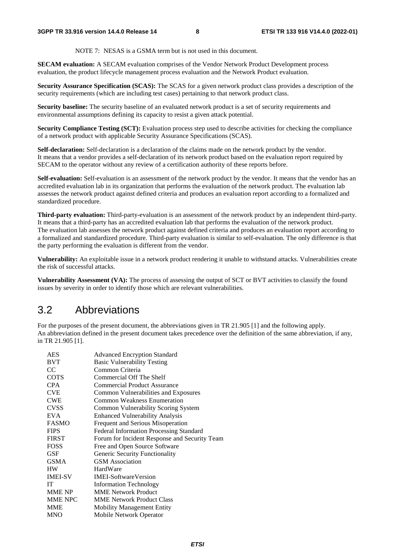NOTE 7: NESAS is a GSMA term but is not used in this document.

**SECAM evaluation:** A SECAM evaluation comprises of the Vendor Network Product Development process evaluation, the product lifecycle management process evaluation and the Network Product evaluation.

**Security Assurance Specification (SCAS):** The SCAS for a given network product class provides a description of the security requirements (which are including test cases) pertaining to that network product class.

**Security baseline:** The security baseline of an evaluated network product is a set of security requirements and environmental assumptions defining its capacity to resist a given attack potential.

**Security Compliance Testing (SCT):** Evaluation process step used to describe activities for checking the compliance of a network product with applicable Security Assurance Specifications (SCAS).

**Self-declaration:** Self-declaration is a declaration of the claims made on the network product by the vendor. It means that a vendor provides a self-declaration of its network product based on the evaluation report required by SECAM to the operator without any review of a certification authority of these reports before.

**Self-evaluation:** Self-evaluation is an assessment of the network product by the vendor. It means that the vendor has an accredited evaluation lab in its organization that performs the evaluation of the network product. The evaluation lab assesses the network product against defined criteria and produces an evaluation report according to a formalized and standardized procedure.

**Third-party evaluation:** Third-party-evaluation is an assessment of the network product by an independent third-party. It means that a third-party has an accredited evaluation lab that performs the evaluation of the network product. The evaluation lab assesses the network product against defined criteria and produces an evaluation report according to a formalized and standardized procedure. Third-party evaluation is similar to self-evaluation. The only difference is that the party performing the evaluation is different from the vendor.

**Vulnerability:** An exploitable issue in a network product rendering it unable to withstand attacks. Vulnerabilities create the risk of successful attacks.

**Vulnerability Assessment (VA):** The process of assessing the output of SCT or BVT activities to classify the found issues by severity in order to identify those which are relevant vulnerabilities.

### 3.2 Abbreviations

For the purposes of the present document, the abbreviations given in TR 21.905 [1] and the following apply. An abbreviation defined in the present document takes precedence over the definition of the same abbreviation, if any, in TR 21.905 [1].

| AES            | <b>Advanced Encryption Standard</b>           |
|----------------|-----------------------------------------------|
| <b>BVT</b>     | <b>Basic Vulnerability Testing</b>            |
| CC.            | Common Criteria                               |
| <b>COTS</b>    | Commercial Off The Shelf                      |
| <b>CPA</b>     | <b>Commercial Product Assurance</b>           |
| <b>CVE</b>     | Common Vulnerabilities and Exposures          |
| <b>CWE</b>     | <b>Common Weakness Enumeration</b>            |
| <b>CVSS</b>    | Common Vulnerability Scoring System           |
| EVA.           | <b>Enhanced Vulnerability Analysis</b>        |
| <b>FASMO</b>   | Frequent and Serious Misoperation             |
| <b>FIPS</b>    | Federal Information Processing Standard       |
| <b>FIRST</b>   | Forum for Incident Response and Security Team |
| <b>FOSS</b>    | Free and Open Source Software                 |
| <b>GSF</b>     | <b>Generic Security Functionality</b>         |
| <b>GSMA</b>    | <b>GSM</b> Association                        |
| <b>HW</b>      | HardWare                                      |
| <b>IMEI-SV</b> | <b>IMEI-SoftwareVersion</b>                   |
| IT             | <b>Information Technology</b>                 |
| <b>MME NP</b>  | <b>MME Network Product</b>                    |
| <b>MME NPC</b> | <b>MME Network Product Class</b>              |
| <b>MME</b>     | <b>Mobility Management Entity</b>             |
| <b>MNO</b>     | Mobile Network Operator                       |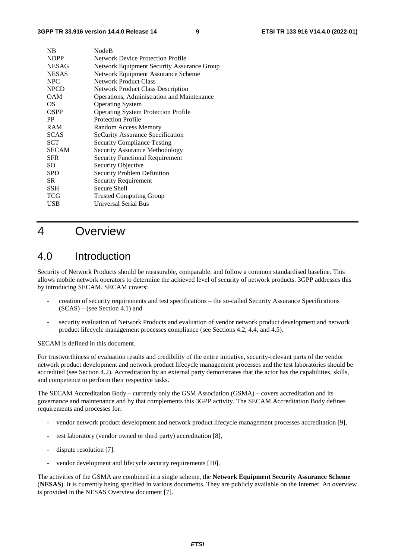| <b>NB</b>    | NodeB                                      |
|--------------|--------------------------------------------|
| <b>NDPP</b>  | <b>Network Device Protection Profile</b>   |
| <b>NESAG</b> | Network Equipment Security Assurance Group |
| <b>NESAS</b> | Network Equipment Assurance Scheme         |
| <b>NPC</b>   | <b>Network Product Class</b>               |
| <b>NPCD</b>  | <b>Network Product Class Description</b>   |
| <b>OAM</b>   | Operations, Administration and Maintenance |
| OS           | <b>Operating System</b>                    |
| <b>OSPP</b>  | <b>Operating System Protection Profile</b> |
| <b>PP</b>    | <b>Protection Profile</b>                  |
| <b>RAM</b>   | <b>Random Access Memory</b>                |
| <b>SCAS</b>  | <b>SeCurity Assurance Specification</b>    |
| <b>SCT</b>   | <b>Security Compliance Testing</b>         |
| <b>SECAM</b> | Security Assurance Methodology             |
| <b>SFR</b>   | <b>Security Functional Requirement</b>     |
| SO           | Security Objective                         |
| <b>SPD</b>   | <b>Security Problem Definition</b>         |
| <b>SR</b>    | Security Requirement                       |
| <b>SSH</b>   | Secure Shell                               |
| TCG          | <b>Trusted Computing Group</b>             |
| <b>USB</b>   | Universal Serial Bus                       |
|              |                                            |

## 4 Overview

### 4.0 Introduction

Security of Network Products should be measurable, comparable, and follow a common standardised baseline. This allows mobile network operators to determine the achieved level of security of network products. 3GPP addresses this by introducing SECAM. SECAM covers:

- creation of security requirements and test specifications the so-called Security Assurance Specifications (SCAS) – (see Section 4.1) and
- security evaluation of Network Products and evaluation of vendor network product development and network product lifecycle management processes compliance (see Sections 4.2, 4.4, and 4.5).

SECAM is defined in this document.

For trustworthiness of evaluation results and credibility of the entire initiative, security-relevant parts of the vendor network product development and network product lifecycle management processes and the test laboratories should be accredited (see Section 4.2). Accreditation by an external party demonstrates that the actor has the capabilities, skills, and competence to perform their respective tasks.

The SECAM Accreditation Body – currently only the GSM Association (GSMA) – covers accreditation and its governance and maintenance and by that complements this 3GPP activity. The SECAM Accreditation Body defines requirements and processes for:

- vendor network product development and network product lifecycle management processes accreditation [9],
- test laboratory (vendor owned or third party) accreditation [8],
- dispute resolution [7].
- vendor development and lifecycle security requirements [10].

The activities of the GSMA are combined in a single scheme, the **Network Equipment Security Assurance Scheme** (**NESAS**). It is currently being specified in various documents. They are publicly available on the Internet. An overview is provided in the NESAS Overview document [7].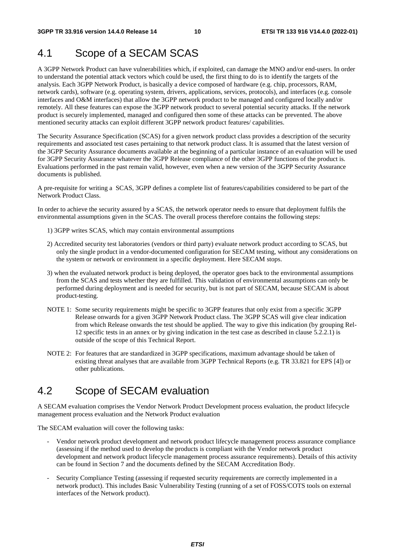## 4.1 Scope of a SECAM SCAS

A 3GPP Network Product can have vulnerabilities which, if exploited, can damage the MNO and/or end-users. In order to understand the potential attack vectors which could be used, the first thing to do is to identify the targets of the analysis. Each 3GPP Network Product, is basically a device composed of hardware (e.g. chip, processors, RAM, network cards), software (e.g. operating system, drivers, applications, services, protocols), and interfaces (e.g. console interfaces and O&M interfaces) that allow the 3GPP network product to be managed and configured locally and/or remotely. All these features can expose the 3GPP network product to several potential security attacks. If the network product is securely implemented, managed and configured then some of these attacks can be prevented. The above mentioned security attacks can exploit different 3GPP network product features/ capabilities.

The Security Assurance Specification (SCAS) for a given network product class provides a description of the security requirements and associated test cases pertaining to that network product class. It is assumed that the latest version of the 3GPP Security Assurance documents available at the beginning of a particular instance of an evaluation will be used for 3GPP Security Assurance whatever the 3GPP Release compliance of the other 3GPP functions of the product is. Evaluations performed in the past remain valid, however, even when a new version of the 3GPP Security Assurance documents is published.

A pre-requisite for writing a SCAS, 3GPP defines a complete list of features/capabilities considered to be part of the Network Product Class.

In order to achieve the security assured by a SCAS, the network operator needs to ensure that deployment fulfils the environmental assumptions given in the SCAS. The overall process therefore contains the following steps:

- 1) 3GPP writes SCAS, which may contain environmental assumptions
- 2) Accredited security test laboratories (vendors or third party) evaluate network product according to SCAS, but only the single product in a vendor-documented configuration for SECAM testing, without any considerations on the system or network or environment in a specific deployment. Here SECAM stops.
- 3) when the evaluated network product is being deployed, the operator goes back to the environmental assumptions from the SCAS and tests whether they are fulfilled. This validation of environmental assumptions can only be performed during deployment and is needed for security, but is not part of SECAM, because SECAM is about product-testing.
- NOTE 1: Some security requirements might be specific to 3GPP features that only exist from a specific 3GPP Release onwards for a given 3GPP Network Product class. The 3GPP SCAS will give clear indication from which Release onwards the test should be applied. The way to give this indication (by grouping Rel-12 specific tests in an annex or by giving indication in the test case as described in clause 5.2.2.1) is outside of the scope of this Technical Report.
- NOTE 2: For features that are standardized in 3GPP specifications, maximum advantage should be taken of existing threat analyses that are available from 3GPP Technical Reports (e.g. TR 33.821 for EPS [4]) or other publications.

## 4.2 Scope of SECAM evaluation

A SECAM evaluation comprises the Vendor Network Product Development process evaluation, the product lifecycle management process evaluation and the Network Product evaluation

The SECAM evaluation will cover the following tasks:

- Vendor network product development and network product lifecycle management process assurance compliance (assessing if the method used to develop the products is compliant with the Vendor network product development and network product lifecycle management process assurance requirements). Details of this activity can be found in Section 7 and the documents defined by the SECAM Accreditation Body.
- Security Compliance Testing (assessing if requested security requirements are correctly implemented in a network product). This includes Basic Vulnerability Testing (running of a set of FOSS/COTS tools on external interfaces of the Network product).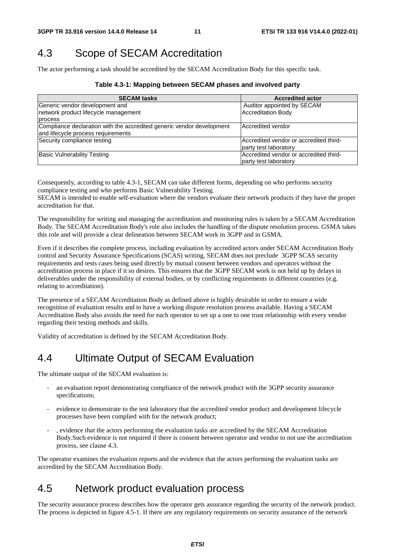## 4.3 Scope of SECAM Accreditation

The actor performing a task should be accredited by the SECAM Accreditation Body for this specific task.

| <b>SECAM tasks</b>                                                    | <b>Accredited actor</b>                |
|-----------------------------------------------------------------------|----------------------------------------|
| Generic vendor development and                                        | Auditor appointed by SECAM             |
| network product lifecycle management                                  | <b>Accreditation Body</b>              |
| process                                                               |                                        |
| Compliance declaration with the accredited generic vendor development | Accredited vendor                      |
| and lifecycle process requirements                                    |                                        |
| Security compliance testing                                           | Accredited vendor or accredited third- |
|                                                                       | party test laboratory                  |
| <b>Basic Vulnerability Testing</b>                                    | Accredited vendor or accredited third- |
|                                                                       | party test laboratory                  |

Consequently, according to table 4.3-1, SECAM can take different forms, depending on who performs security compliance testing and who performs Basic Vulnerability Testing.

SECAM is intended to enable self-evaluation where the vendors evaluate their network products if they have the proper accreditation for that.

The responsibility for writing and managing the accreditation and monitoring rules is taken by a SECAM Accreditation Body. The SECAM Accreditation Body's role also includes the handling of the dispute resolution process. GSMA takes this role and will provide a clear delineation between SECAM work in 3GPP and in GSMA.

Even if it describes the complete process, including evaluation by accredited actors under SECAM Accreditation Body control and Security Assurance Specifications (SCAS) writing, SECAM does not preclude 3GPP SCAS security requirements and tests cases being used directly by mutual consent between vendors and operators without the accreditation process in place if it so desires. This ensures that the 3GPP SECAM work is not held up by delays in deliverables under the responsibility of external bodies, or by conflicting requirements in different countries (e.g. relating to accreditation).

The presence of a SECAM Accreditation Body as defined above is highly desirable in order to ensure a wide recognition of evaluation results and to have a working dispute resolution process available. Having a SECAM Accreditation Body also avoids the need for each operator to set up a one to one trust relationship with every vendor regarding their testing methods and skills.

Validity of accreditation is defined by the SECAM Accreditation Body.

## 4.4 Ultimate Output of SECAM Evaluation

The ultimate output of the SECAM evaluation is:

- an evaluation report demonstrating compliance of the network product with the 3GPP security assurance specifications;
- evidence to demonstrate to the test laboratory that the accredited vendor product and development lifecycle processes have been complied with for the network product;
- , evidence that the actors performing the evaluation tasks are accredited by the SECAM Accreditation Body.Such evidence is not required if there is consent between operator and vendor to not use the accreditation process, see clause 4.3.

The operator examines the evaluation reports and the evidence that the actors performing the evaluation tasks are accredited by the SECAM Accreditation Body.

## 4.5 Network product evaluation process

The security assurance process describes how the operator gets assurance regarding the security of the network product. The process is depicted in figure 4.5-1. If there are any regulatory requirements on security assurance of the network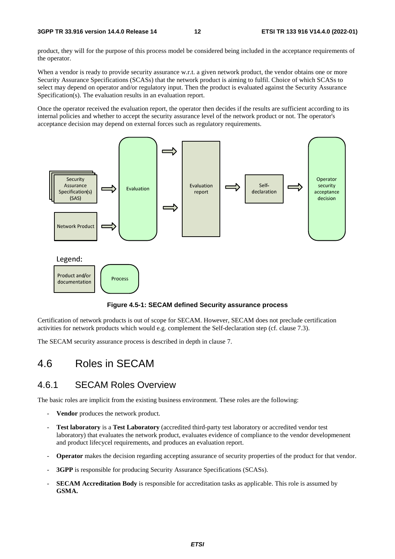product, they will for the purpose of this process model be considered being included in the acceptance requirements of the operator.

When a vendor is ready to provide security assurance w.r.t. a given network product, the vendor obtains one or more Security Assurance Specifications (SCASs) that the network product is aiming to fulfil. Choice of which SCASs to select may depend on operator and/or regulatory input. Then the product is evaluated against the Security Assurance Specification(s). The evaluation results in an evaluation report.

Once the operator received the evaluation report, the operator then decides if the results are sufficient according to its internal policies and whether to accept the security assurance level of the network product or not. The operator's acceptance decision may depend on external forces such as regulatory requirements.



**Figure 4.5-1: SECAM defined Security assurance process** 

Certification of network products is out of scope for SECAM. However, SECAM does not preclude certification activities for network products which would e.g. complement the Self-declaration step (cf. clause 7.3).

The SECAM security assurance process is described in depth in clause 7.

## 4.6 Roles in SECAM

### 4.6.1 SECAM Roles Overview

The basic roles are implicit from the existing business environment. These roles are the following:

- **Vendor** produces the network product.
- **Test laboratory** is a **Test Laboratory** (accredited third-party test laboratory or accredited vendor test laboratory) that evaluates the network product, evaluates evidence of compliance to the vendor developmenent and product lifecycel requirements, and produces an evaluation report.
- **Operator** makes the decision regarding accepting assurance of security properties of the product for that vendor.
- **3GPP** is responsible for producing Security Assurance Specifications (SCASs).
- **SECAM Accreditation Body** is responsible for accreditation tasks as applicable. This role is assumed by **GSMA.**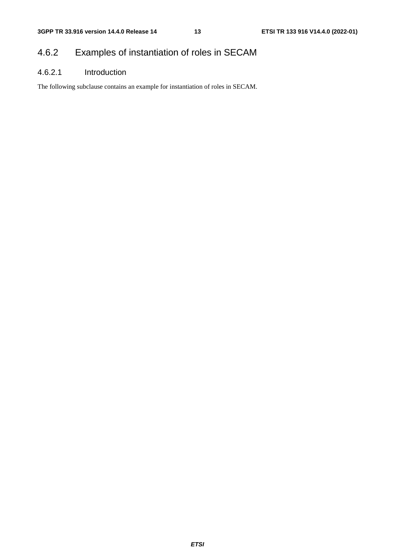## 4.6.2 Examples of instantiation of roles in SECAM

### 4.6.2.1 Introduction

The following subclause contains an example for instantiation of roles in SECAM.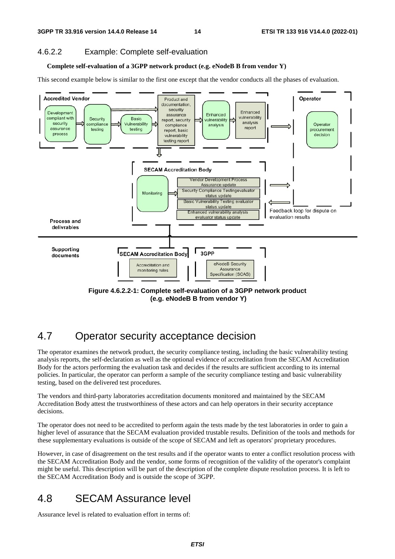### 4.6.2.2 Example: Complete self-evaluation

#### **Complete self-evaluation of a 3GPP network product (e.g. eNodeB B from vendor Y)**

This second example below is similar to the first one except that the vendor conducts all the phases of evaluation.



 **(e.g. eNodeB B from vendor Y)** 

## 4.7 Operator security acceptance decision

The operator examines the network product, the security compliance testing, including the basic vulnerability testing analysis reports, the self-declaration as well as the optional evidence of accreditation from the SECAM Accreditation Body for the actors performing the evaluation task and decides if the results are sufficient according to its internal policies. In particular, the operator can perform a sample of the security compliance testing and basic vulnerability testing, based on the delivered test procedures.

The vendors and third-party laboratories accreditation documents monitored and maintained by the SECAM Accreditation Body attest the trustworthiness of these actors and can help operators in their security acceptance decisions.

The operator does not need to be accredited to perform again the tests made by the test laboratories in order to gain a higher level of assurance that the SECAM evaluation provided trustable results. Definition of the tools and methods for these supplementary evaluations is outside of the scope of SECAM and left as operators' proprietary procedures.

However, in case of disagreement on the test results and if the operator wants to enter a conflict resolution process with the SECAM Accreditation Body and the vendor, some forms of recognition of the validity of the operator's complaint might be useful. This description will be part of the description of the complete dispute resolution process. It is left to the SECAM Accreditation Body and is outside the scope of 3GPP.

## 4.8 SECAM Assurance level

Assurance level is related to evaluation effort in terms of: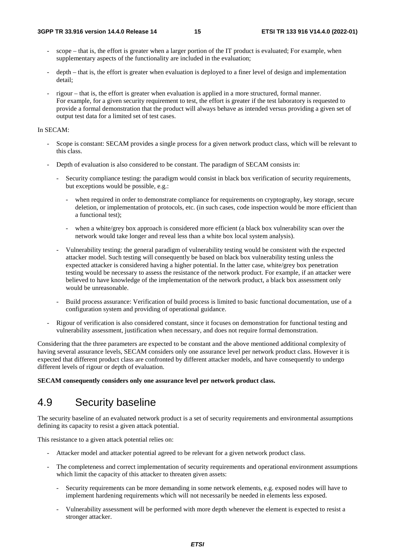- scope that is, the effort is greater when a larger portion of the IT product is evaluated; For example, when supplementary aspects of the functionality are included in the evaluation;
- depth that is, the effort is greater when evaluation is deployed to a finer level of design and implementation detail;
- rigour that is, the effort is greater when evaluation is applied in a more structured, formal manner. For example, for a given security requirement to test, the effort is greater if the test laboratory is requested to provide a formal demonstration that the product will always behave as intended versus providing a given set of output test data for a limited set of test cases.

#### In SECAM:

- Scope is constant: SECAM provides a single process for a given network product class, which will be relevant to this class.
- Depth of evaluation is also considered to be constant. The paradigm of SECAM consists in:
	- Security compliance testing: the paradigm would consist in black box verification of security requirements, but exceptions would be possible, e.g.:
		- when required in order to demonstrate compliance for requirements on cryptography, key storage, secure deletion, or implementation of protocols, etc. (in such cases, code inspection would be more efficient than a functional test);
		- when a white/grey box approach is considered more efficient (a black box vulnerability scan over the network would take longer and reveal less than a white box local system analysis).
	- Vulnerability testing: the general paradigm of vulnerability testing would be consistent with the expected attacker model. Such testing will consequently be based on black box vulnerability testing unless the expected attacker is considered having a higher potential. In the latter case, white/grey box penetration testing would be necessary to assess the resistance of the network product. For example, if an attacker were believed to have knowledge of the implementation of the network product, a black box assessment only would be unreasonable.
	- Build process assurance: Verification of build process is limited to basic functional documentation, use of a configuration system and providing of operational guidance.
- Rigour of verification is also considered constant, since it focuses on demonstration for functional testing and vulnerability assessment, justification when necessary, and does not require formal demonstration.

Considering that the three parameters are expected to be constant and the above mentioned additional complexity of having several assurance levels, SECAM considers only one assurance level per network product class. However it is expected that different product class are confronted by different attacker models, and have consequently to undergo different levels of rigour or depth of evaluation.

**SECAM consequently considers only one assurance level per network product class.** 

## 4.9 Security baseline

The security baseline of an evaluated network product is a set of security requirements and environmental assumptions defining its capacity to resist a given attack potential.

This resistance to a given attack potential relies on:

- Attacker model and attacker potential agreed to be relevant for a given network product class.
- The completeness and correct implementation of security requirements and operational environment assumptions which limit the capacity of this attacker to threaten given assets:
	- Security requirements can be more demanding in some network elements, e.g. exposed nodes will have to implement hardening requirements which will not necessarily be needed in elements less exposed.
	- Vulnerability assessment will be performed with more depth whenever the element is expected to resist a stronger attacker.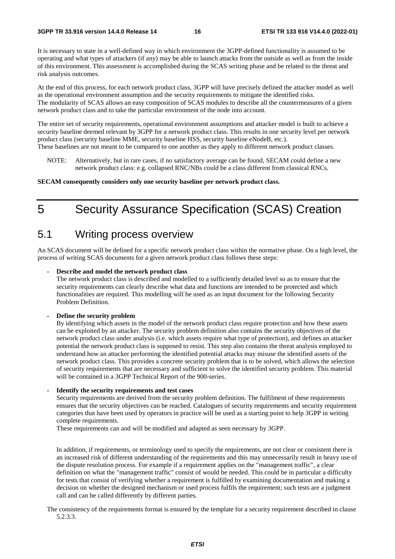It is necessary to state in a well-defined way in which environment the 3GPP-defined functionality is assumed to be operating and what types of attackers (if any) may be able to launch attacks from the outside as well as from the inside of this environment. This assessment is accomplished during the SCAS writing phase and be related to the threat and risk analysis outcomes.

At the end of this process, for each network product class, 3GPP will have precisely defined the attacker model as well as the operational environment assumption and the security requirements to mitigate the identified risks. The modularity of SCAS allows an easy composition of SCAS modules to describe all the countermeasures of a given network product class and to take the particular environment of the node into account.

The entire set of security requirements, operational environment assumptions and attacker model is built to achieve a security baseline deemed relevant by 3GPP for a network product class. This results in one security level per network product class (security baseline MME, security baseline HSS, security baseline eNodeB, etc.).

- These baselines are not meant to be compared to one another as they apply to different network product classes.
	- NOTE: Alternatively, but in rare cases, if no satisfactory average can be found, SECAM could define a new network product class: e.g. collapsed RNC/NBs could be a class different from classical RNCs.

#### **SECAM consequently considers only one security baseline per network product class.**

## 5 Security Assurance Specification (SCAS) Creation

### 5.1 Writing process overview

An SCAS document will be defined for a specific network product class within the normative phase. On a high level, the process of writing SCAS documents for a given network product class follows these steps:

#### **- Describe and model the network product class**

The network product class is described and modelled to a sufficiently detailed level so as to ensure that the security requirements can clearly describe what data and functions are intended to be protected and which functionalities are required. This modelling will be used as an input document for the following Security Problem Definition.

#### **- Define the security problem**

By identifying which assets in the model of the network product class require protection and how these assets can be exploited by an attacker. The security problem definition also contains the security objectives of the network product class under analysis (i.e. which assets require what type of protection), and defines an attacker potential the network product class is supposed to resist. This step also contains the threat analysis employed to understand how an attacker performing the identified potential attacks may misuse the identified assets of the network product class. This provides a concrete security problem that is to be solved, which allows the selection of security requirements that are necessary and sufficient to solve the identified security problem. This material will be contained in a 3GPP Technical Report of the 900-series.

#### **- Identify the security requirements and test cases**

Security requirements are derived from the security problem definition. The fulfilment of these requirements ensures that the security objectives can be reached. Catalogues of security requirements and security requirement categories that have been used by operators in practice will be used as a starting point to help 3GPP in writing complete requirements.

These requirements can and will be modified and adapted as seen necessary by 3GPP.

In addition, if requirements, or terminology used to specify the requirements, are not clear or consistent there is an increased risk of different understanding of the requirements and this may unnecessarily result in heavy use of the dispute resolution process. For example if a requirement applies on the "management traffic", a clear definition on what the "management traffic" consist of would be needed. This could be in particular a difficulty for tests that consist of verifying whether a requirement is fulfilled by examining documentation and making a decision on whether the designed mechanism or used process fulfils the requirement; such tests are a judgment call and can be called differently by different parties.

The consistency of the requirements format is ensured by the template for a security requirement described in clause 5.2.3.3.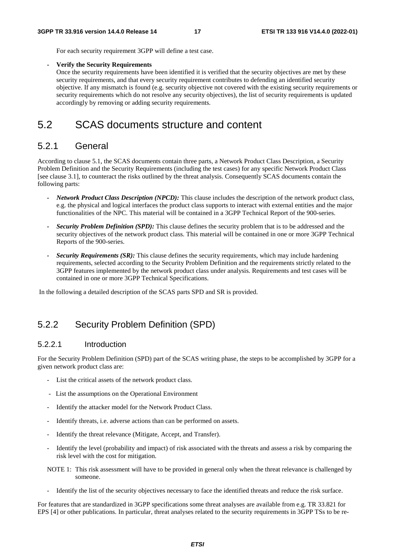For each security requirement 3GPP will define a test case.

#### **- Verify the Security Requirements**

Once the security requirements have been identified it is verified that the security objectives are met by these security requirements, and that every security requirement contributes to defending an identified security objective. If any mismatch is found (e.g. security objective not covered with the existing security requirements or security requirements which do not resolve any security objectives), the list of security requirements is updated accordingly by removing or adding security requirements.

## 5.2 SCAS documents structure and content

### 5.2.1 General

According to clause 5.1, the SCAS documents contain three parts, a Network Product Class Description, a Security Problem Definition and the Security Requirements (including the test cases) for any specific Network Product Class [see clause 3.1], to counteract the risks outlined by the threat analysis. Consequently SCAS documents contain the following parts:

- *Network Product Class Description (NPCD):* This clause includes the description of the network product class, e.g. the physical and logical interfaces the product class supports to interact with external entities and the major functionalities of the NPC. This material will be contained in a 3GPP Technical Report of the 900-series.
- *Security Problem Definition (SPD):* This clause defines the security problem that is to be addressed and the security objectives of the network product class. This material will be contained in one or more 3GPP Technical Reports of the 900-series.
- *Security Requirements (SR):* This clause defines the security requirements, which may include hardening requirements, selected according to the Security Problem Definition and the requirements strictly related to the 3GPP features implemented by the network product class under analysis. Requirements and test cases will be contained in one or more 3GPP Technical Specifications.

In the following a detailed description of the SCAS parts SPD and SR is provided.

### 5.2.2 Security Problem Definition (SPD)

#### 5.2.2.1 Introduction

For the Security Problem Definition (SPD) part of the SCAS writing phase, the steps to be accomplished by 3GPP for a given network product class are:

- List the critical assets of the network product class.
- List the assumptions on the Operational Environment
- Identify the attacker model for the Network Product Class.
- Identify threats, i.e. adverse actions than can be performed on assets.
- Identify the threat relevance (Mitigate, Accept, and Transfer).
- Identify the level (probability and impact) of risk associated with the threats and assess a risk by comparing the risk level with the cost for mitigation.
- NOTE 1: This risk assessment will have to be provided in general only when the threat relevance is challenged by someone.
- Identify the list of the security objectives necessary to face the identified threats and reduce the risk surface.

For features that are standardized in 3GPP specifications some threat analyses are available from e.g. TR 33.821 for EPS [4] or other publications. In particular, threat analyses related to the security requirements in 3GPP TSs to be re-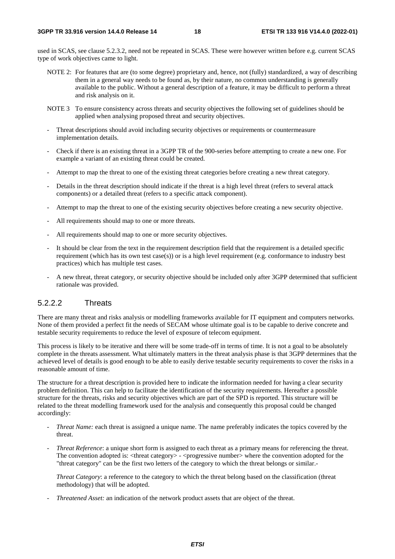used in SCAS, see clause 5.2.3.2, need not be repeated in SCAS. These were however written before e.g. current SCAS type of work objectives came to light.

- NOTE 2: For features that are (to some degree) proprietary and, hence, not (fully) standardized, a way of describing them in a general way needs to be found as, by their nature, no common understanding is generally available to the public. Without a general description of a feature, it may be difficult to perform a threat and risk analysis on it.
- NOTE 3 To ensure consistency across threats and security objectives the following set of guidelines should be applied when analysing proposed threat and security objectives.
- Threat descriptions should avoid including security objectives or requirements or countermeasure implementation details.
- Check if there is an existing threat in a 3GPP TR of the 900-series before attempting to create a new one. For example a variant of an existing threat could be created.
- Attempt to map the threat to one of the existing threat categories before creating a new threat category.
- Details in the threat description should indicate if the threat is a high level threat (refers to several attack components) or a detailed threat (refers to a specific attack component).
- Attempt to map the threat to one of the existing security objectives before creating a new security objective.
- All requirements should map to one or more threats.
- All requirements should map to one or more security objectives.
- It should be clear from the text in the requirement description field that the requirement is a detailed specific requirement (which has its own test case(s)) or is a high level requirement (e.g. conformance to industry best practices) which has multiple test cases.
- A new threat, threat category, or security objective should be included only after 3GPP determined that sufficient rationale was provided.

#### 5.2.2.2 Threats

There are many threat and risks analysis or modelling frameworks available for IT equipment and computers networks. None of them provided a perfect fit the needs of SECAM whose ultimate goal is to be capable to derive concrete and testable security requirements to reduce the level of exposure of telecom equipment.

This process is likely to be iterative and there will be some trade-off in terms of time. It is not a goal to be absolutely complete in the threats assessment. What ultimately matters in the threat analysis phase is that 3GPP determines that the achieved level of details is good enough to be able to easily derive testable security requirements to cover the risks in a reasonable amount of time.

The structure for a threat description is provided here to indicate the information needed for having a clear security problem definition. This can help to facilitate the identification of the security requirements. Hereafter a possible structure for the threats, risks and security objectives which are part of the SPD is reported. This structure will be related to the threat modelling framework used for the analysis and consequently this proposal could be changed accordingly:

- *Threat Name:* each threat is assigned a unique name. The name preferably indicates the topics covered by the threat.
- *Threat Reference*: a unique short form is assigned to each threat as a primary means for referencing the threat. The convention adopted is: <threat category> - <progressive number> where the convention adopted for the "threat category" can be the first two letters of the category to which the threat belongs or similar.*-*

 *Threat Category*: a reference to the category to which the threat belong based on the classification (threat methodology) that will be adopted.

*- Threatened Asset:* an indication of the network product assets that are object of the threat.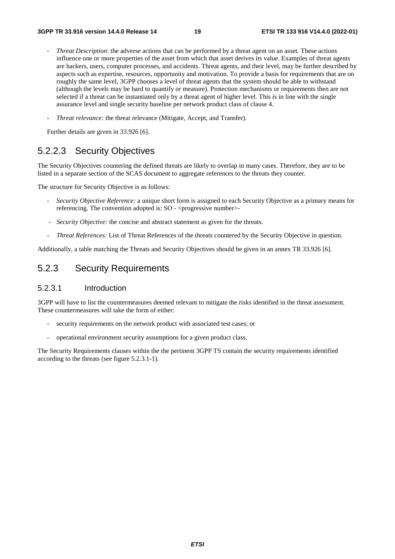- *Threat Description*: the adverse actions that can be performed by a threat agent on an asset. These actions influence one or more properties of the asset from which that asset derives its value. Examples of threat agents are hackers, users, computer processes, and accidents. Threat agents, and their level, may be further described by aspects such as expertise, resources, opportunity and motivation. To provide a basis for requirements that are on roughly the same level, 3GPP chooses a level of threat agents that the system should be able to withstand (although the levels may be hard to quantify or measure). Protection mechanisms or requirements then are not selected if a threat can be instantiated only by a threat agent of higher level. This is in line with the single assurance level and single security baseline per network product class of clause 4.
- *Threat relevance:* the threat relevance (Mitigate, Accept, and Transfer).

Further details are given in 33.926 [6].

### 5.2.2.3 Security Objectives

The Security Objectives countering the defined threats are likely to overlap in many cases. Therefore, they are to be listed in a separate section of the SCAS document to aggregate references to the threats they counter.

The structure for Security Objective is as follows:

- *Security Objective Reference:* a unique short form is assigned to each Security Objective as a primary means for referencing. The convention adopted is: SO - <progressive number>
- *Security Objective:* the concise and abstract statement as given for the threats.
- *Threat References:* List of Threat References of the threats countered by the Security Objective in question.

Additionally, a table matching the Threats and Security Objectives should be given in an annex TR 33.926 [6].

### 5.2.3 Security Requirements

#### 5.2.3.1 Introduction

3GPP will have to list the countermeasures deemed relevant to mitigate the risks identified in the threat assessment. These countermeasures will take the form of either:

- security requirements on the network product with associated test cases; or
- operational environment security assumptions for a given product class.

The Security Requirements clauses within the the pertinent 3GPP TS contain the security requirements identified according to the threats (see figure 5.2.3.1-1).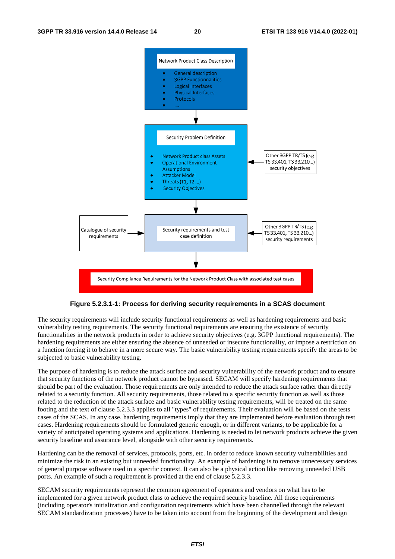

#### **Figure 5.2.3.1-1: Process for deriving security requirements in a SCAS document**

The security requirements will include security functional requirements as well as hardening requirements and basic vulnerability testing requirements. The security functional requirements are ensuring the existence of security functionalities in the network products in order to achieve security objectives (e.g. 3GPP functional requirements). The hardening requirements are either ensuring the absence of unneeded or insecure functionality, or impose a restriction on a function forcing it to behave in a more secure way. The basic vulnerability testing requirements specify the areas to be subjected to basic vulnerability testing.

The purpose of hardening is to reduce the attack surface and security vulnerability of the network product and to ensure that security functions of the network product cannot be bypassed. SECAM will specify hardening requirements that should be part of the evaluation. Those requirements are only intended to reduce the attack surface rather than directly related to a security function. All security requirements, those related to a specific security function as well as those related to the reduction of the attack surface and basic vulnerability testing requirements, will be treated on the same footing and the text of clause 5.2.3.3 applies to all "types" of requirements. Their evaluation will be based on the tests cases of the SCAS. In any case, hardening requirements imply that they are implemented before evaluation through test cases. Hardening requirements should be formulated generic enough, or in different variants, to be applicable for a variety of anticipated operating systems and applications. Hardening is needed to let network products achieve the given security baseline and assurance level, alongside with other security requirements.

Hardening can be the removal of services, protocols, ports, etc. in order to reduce known security vulnerabilities and minimize the risk in an existing but unneeded functionality. An example of hardening is to remove unnecessary services of general purpose software used in a specific context. It can also be a physical action like removing unneeded USB ports. An example of such a requirement is provided at the end of clause 5.2.3.3.

SECAM security requirements represent the common agreement of operators and vendors on what has to be implemented for a given network product class to achieve the required security baseline. All those requirements (including operator's initialization and configuration requirements which have been channelled through the relevant SECAM standardization processes) have to be taken into account from the beginning of the development and design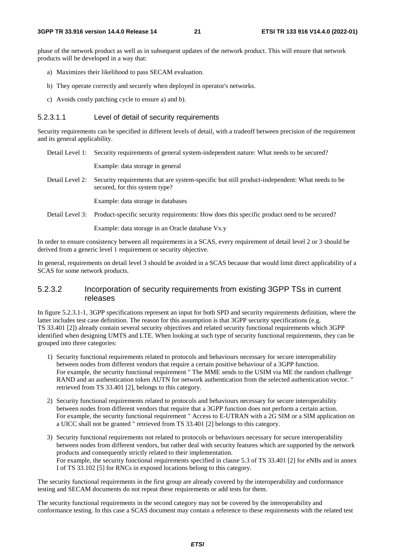phase of the network product as well as in subsequent updates of the network product. This will ensure that network products will be developed in a way that:

- a) Maximizes their likelihood to pass SECAM evaluation.
- b) They operate correctly and securely when deployed in operator's networks.
- c) Avoids costly patching cycle to ensure a) and b).

#### 5.2.3.1.1 Level of detail of security requirements

Security requirements can be specified in different levels of detail, with a tradeoff between precision of the requirement and its general applicability.

Detail Level 1: Security requirements of general system-independent nature: What needs to be secured?

Example: data storage in general

Detail Level 2: Security requirements that are system-specific but still product-independent: What needs to be secured, for this system type?

Example: data storage in databases

Detail Level 3: Product-specific security requirements: How does this specific product need to be secured?

Example: data storage in an Oracle database Vx.y

In order to ensure consistency between all requirements in a SCAS, every requirement of detail level 2 or 3 should be derived from a generic level 1 requirement or security objective.

In general, requirements on detail level 3 should be avoided in a SCAS because that would limit direct applicability of a SCAS for some network products.

#### 5.2.3.2 Incorporation of security requirements from existing 3GPP TSs in current releases

In figure 5.2.3.1-1, 3GPP specifications represent an input for both SPD and security requirements definition, where the latter includes test case definition. The reason for this assumption is that 3GPP security specifications (e.g. TS 33.401 [2]) already contain several security objectives and related security functional requirements which 3GPP identified when designing UMTS and LTE. When looking at such type of security functional requirements, they can be grouped into three categories:

- 1) Security functional requirements related to protocols and behaviours necessary for secure interoperability between nodes from different vendors that require a certain positive behaviour of a 3GPP function. For example, the security functional requirement " The MME sends to the USIM via ME the random challenge RAND and an authentication token AUTN for network authentication from the selected authentication vector. " retrieved from TS 33.401 [2], belongs to this category.
- 2) Security functional requirements related to protocols and behaviours necessary for secure interoperability between nodes from different vendors that require that a 3GPP function does not perform a certain action. For example, the security functional requirement " Access to E-UTRAN with a 2G SIM or a SIM application on a UICC shall not be granted " retrieved from TS 33.401 [2] belongs to this category.
- 3) Security functional requirements not related to protocols or behaviours necessary for secure interoperability between nodes from different vendors, but rather deal with security features which are supported by the network products and consequently strictly related to their implementation. For example, the security functional requirements specified in clause 5.3 of TS 33.401 [2] for eNBs and in annex I of TS 33.102 [5] for RNCs in exposed locations belong to this category.

The security functional requirements in the first group are already covered by the interoperability and conformance testing and SECAM documents do not repeat these requirements or add tests for them.

The security functional requirements in the second category may not be covered by the interoperability and conformance testing. In this case a SCAS document may contain a reference to these requirements with the related test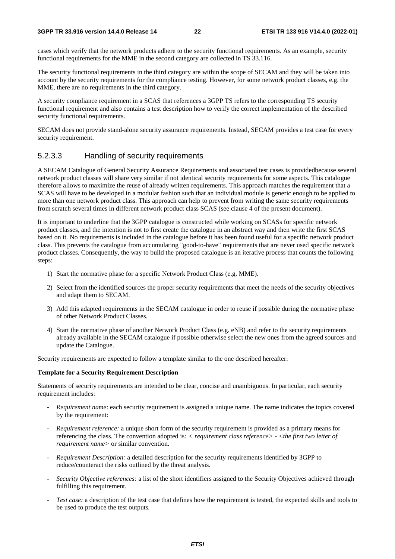cases which verify that the network products adhere to the security functional requirements. As an example, security functional requirements for the MME in the second category are collected in TS 33.116.

The security functional requirements in the third category are within the scope of SECAM and they will be taken into account by the security requirements for the compliance testing. However, for some network product classes, e.g. the MME, there are no requirements in the third category.

A security compliance requirement in a SCAS that references a 3GPP TS refers to the corresponding TS security functional requirement and also contains a test description how to verify the correct implementation of the described security functional requirements.

SECAM does not provide stand-alone security assurance requirements. Instead, SECAM provides a test case for every security requirement.

### 5.2.3.3 Handling of security requirements

A SECAM Catalogue of General Security Assurance Requirements and associated test cases is providedbecause several network product classes will share very similar if not identical security requirements for some aspects. This catalogue therefore allows to maximize the reuse of already written requirements. This approach matches the requirement that a SCAS will have to be developed in a modular fashion such that an individual module is generic enough to be applied to more than one network product class. This approach can help to prevent from writing the same security requirements from scratch several times in different network product class SCAS (see clause 4 of the present document).

It is important to underline that the 3GPP catalogue is constructed while working on SCASs for specific network product classes, and the intention is not to first create the catalogue in an abstract way and then write the first SCAS based on it. No requirements is included in the catalogue before it has been found useful for a specific network product class. This prevents the catalogue from accumulating "good-to-have" requirements that are never used specific network product classes. Consequently, the way to build the proposed catalogue is an iterative process that counts the following steps:

- 1) Start the normative phase for a specific Network Product Class (e.g. MME).
- 2) Select from the identified sources the proper security requirements that meet the needs of the security objectives and adapt them to SECAM.
- 3) Add this adapted requirements in the SECAM catalogue in order to reuse if possible during the normative phase of other Network Product Classes.
- 4) Start the normative phase of another Network Product Class (e.g. eNB) and refer to the security requirements already available in the SECAM catalogue if possible otherwise select the new ones from the agreed sources and update the Catalogue.

Security requirements are expected to follow a template similar to the one described hereafter:

#### **Template for a Security Requirement Description**

Statements of security requirements are intended to be clear, concise and unambiguous. In particular, each security requirement includes:

- *Requirement name:* each security requirement is assigned a unique name. The name indicates the topics covered by the requirement:
- *Requirement reference:* a unique short form of the security requirement is provided as a primary means for referencing the class. The convention adopted is*: < requirement class reference> - <the first two letter of requirement name>* or similar convention.
- *Requirement Description:* a detailed description for the security requirements identified by 3GPP to reduce/counteract the risks outlined by the threat analysis.
- *Security Objective references:* a list of the short identifiers assigned to the Security Objectives achieved through fulfilling this requirement.
- *Test case:* a description of the test case that defines how the requirement is tested, the expected skills and tools to be used to produce the test outputs*.*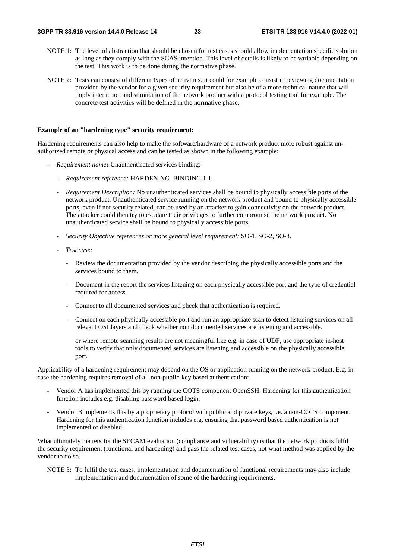- NOTE 1: The level of abstraction that should be chosen for test cases should allow implementation specific solution as long as they comply with the SCAS intention. This level of details is likely to be variable depending on the test. This work is to be done during the normative phase.
- NOTE 2: Tests can consist of different types of activities. It could for example consist in reviewing documentation provided by the vendor for a given security requirement but also be of a more technical nature that will imply interaction and stimulation of the network product with a protocol testing tool for example. The concrete test activities will be defined in the normative phase.

#### **Example of an "hardening type" security requirement:**

Hardening requirements can also help to make the software/hardware of a network product more robust against unauthorized remote or physical access and can be tested as shown in the following example:

- *Requirement name***:** Unauthenticated services binding:
	- *Requirement reference:* HARDENING BINDING.1.1.
	- *Requirement Description:* No unauthenticated services shall be bound to physically accessible ports of the network product. Unauthenticated service running on the network product and bound to physically accessible ports, even if not security related, can be used by an attacker to gain connectivity on the network product. The attacker could then try to escalate their privileges to further compromise the network product. No unauthenticated service shall be bound to physically accessible ports.
	- *Security Objective references or more general level requirement:* SO-1, SO-2, SO-3.
	- *Test case:* 
		- Review the documentation provided by the vendor describing the physically accessible ports and the services bound to them.
		- Document in the report the services listening on each physically accessible port and the type of credential required for access.
		- Connect to all documented services and check that authentication is required.
		- Connect on each physically accessible port and run an appropriate scan to detect listening services on all relevant OSI layers and check whether non documented services are listening and accessible.

 or where remote scanning results are not meaningful like e.g. in case of UDP, use appropriate in-host tools to verify that only documented services are listening and accessible on the physically accessible port.

Applicability of a hardening requirement may depend on the OS or application running on the network product. E.g. in case the hardening requires removal of all non-public-key based authentication:

- Vendor A has implemented this by running the COTS component OpenSSH. Hardening for this authentication function includes e.g. disabling password based login.
- Vendor B implements this by a proprietary protocol with public and private keys, i.e. a non-COTS component. Hardening for this authentication function includes e.g. ensuring that password based authentication is not implemented or disabled.

What ultimately matters for the SECAM evaluation (compliance and vulnerability) is that the network products fulfil the security requirement (functional and hardening) and pass the related test cases, not what method was applied by the vendor to do so.

NOTE 3: To fulfil the test cases, implementation and documentation of functional requirements may also include implementation and documentation of some of the hardening requirements.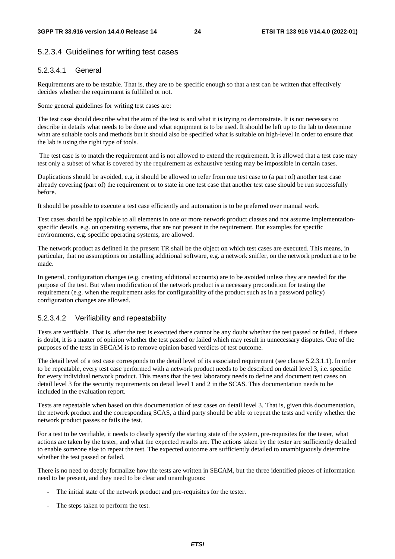### 5.2.3.4 Guidelines for writing test cases

### 5.2.3.4.1 General

Requirements are to be testable. That is, they are to be specific enough so that a test can be written that effectively decides whether the requirement is fulfilled or not.

Some general guidelines for writing test cases are:

The test case should describe what the aim of the test is and what it is trying to demonstrate. It is not necessary to describe in details what needs to be done and what equipment is to be used. It should be left up to the lab to determine what are suitable tools and methods but it should also be specified what is suitable on high-level in order to ensure that the lab is using the right type of tools.

 The test case is to match the requirement and is not allowed to extend the requirement. It is allowed that a test case may test only a subset of what is covered by the requirement as exhaustive testing may be impossible in certain cases.

Duplications should be avoided, e.g. it should be allowed to refer from one test case to (a part of) another test case already covering (part of) the requirement or to state in one test case that another test case should be run successfully before.

It should be possible to execute a test case efficiently and automation is to be preferred over manual work.

Test cases should be applicable to all elements in one or more network product classes and not assume implementationspecific details, e.g. on operating systems, that are not present in the requirement. But examples for specific environments, e.g. specific operating systems, are allowed.

The network product as defined in the present TR shall be the object on which test cases are executed. This means, in particular, that no assumptions on installing additional software, e.g. a network sniffer, on the network product are to be made.

In general, configuration changes (e.g. creating additional accounts) are to be avoided unless they are needed for the purpose of the test. But when modification of the network product is a necessary precondition for testing the requirement (e.g. when the requirement asks for configurability of the product such as in a password policy) configuration changes are allowed.

### 5.2.3.4.2 Verifiability and repeatability

Tests are verifiable. That is, after the test is executed there cannot be any doubt whether the test passed or failed. If there is doubt, it is a matter of opinion whether the test passed or failed which may result in unnecessary disputes. One of the purposes of the tests in SECAM is to remove opinion based verdicts of test outcome.

The detail level of a test case corresponds to the detail level of its associated requirement (see clause 5.2.3.1.1). In order to be repeatable, every test case performed with a network product needs to be described on detail level 3, i.e. specific for every individual network product. This means that the test laboratory needs to define and document test cases on detail level 3 for the security requirements on detail level 1 and 2 in the SCAS. This documentation needs to be included in the evaluation report.

Tests are repeatable when based on this documentation of test cases on detail level 3. That is, given this documentation, the network product and the corresponding SCAS, a third party should be able to repeat the tests and verify whether the network product passes or fails the test.

For a test to be verifiable, it needs to clearly specify the starting state of the system, pre-requisites for the tester, what actions are taken by the tester, and what the expected results are. The actions taken by the tester are sufficiently detailed to enable someone else to repeat the test. The expected outcome are sufficiently detailed to unambiguously determine whether the test passed or failed.

There is no need to deeply formalize how the tests are written in SECAM, but the three identified pieces of information need to be present, and they need to be clear and unambiguous:

- The initial state of the network product and pre-requisites for the tester.
- The steps taken to perform the test.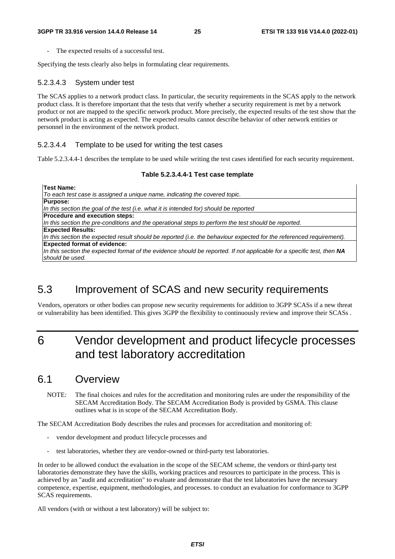The expected results of a successful test.

Specifying the tests clearly also helps in formulating clear requirements.

#### 5.2.3.4.3 System under test

The SCAS applies to a network product class. In particular, the security requirements in the SCAS apply to the network product class. It is therefore important that the tests that verify whether a security requirement is met by a network product or not are mapped to the specific network product. More precisely, the expected results of the test show that the network product is acting as expected. The expected results cannot describe behavior of other network entities or personnel in the environment of the network product.

#### 5.2.3.4.4 Template to be used for writing the test cases

Table 5.2.3.4.4-1 describes the template to be used while writing the test cases identified for each security requirement.

#### **Table 5.2.3.4.4-1 Test case template**

**Test Name:**  *To each test case is assigned a unique name, indicating the covered topic.* **Purpose:** *In this section the goal of the test (i.e. what it is intended for) should be reported*  **Procedure and execution steps:** *In this section the pre-conditions and the operational steps to perform the test should be reported.*  **Expected Results:** *In this section the expected result should be reported (i.e. the behaviour expected for the referenced requirement).* **Expected format of evidence:** *In this section the expected format of the evidence should be reported. If not applicable for a specific test, then NA should be used.* 

### 5.3 Improvement of SCAS and new security requirements

Vendors, operators or other bodies can propose new security requirements for addition to 3GPP SCASs if a new threat or vulnerability has been identified. This gives 3GPP the flexibility to continuously review and improve their SCASs .

## 6 Vendor development and product lifecycle processes and test laboratory accreditation

### 6.1 Overview

NOTE: The final choices and rules for the accreditation and monitoring rules are under the responsibility of the SECAM Accreditation Body. The SECAM Accreditation Body is provided by GSMA. This clause outlines what is in scope of the SECAM Accreditation Body.

The SECAM Accreditation Body describes the rules and processes for accreditation and monitoring of:

- vendor development and product lifecycle processes and
- test laboratories, whether they are vendor-owned or third-party test laboratories.

In order to be allowed conduct the evaluation in the scope of the SECAM scheme, the vendors or third-party test laboratories demonstrate they have the skills, working practices and resources to participate in the process. This is achieved by an "audit and accreditation" to evaluate and demonstrate that the test laboratories have the necessary competence, expertise, equipment, methodologies, and processes. to conduct an evaluation for conformance to 3GPP SCAS requirements.

All vendors (with or without a test laboratory) will be subject to: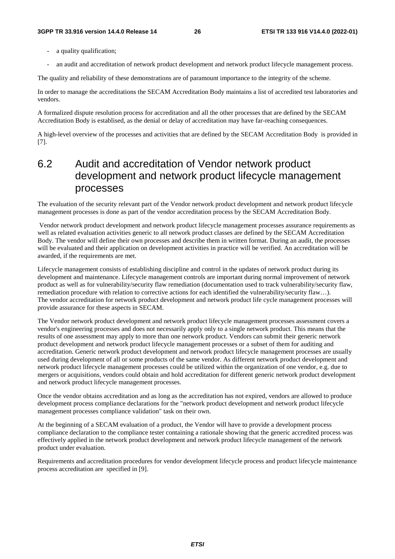- a quality qualification;
- an audit and accreditation of network product development and network product lifecycle management process.

The quality and reliability of these demonstrations are of paramount importance to the integrity of the scheme.

In order to manage the accreditations the SECAM Accreditation Body maintains a list of accredited test laboratories and vendors.

A formalized dispute resolution process for accreditation and all the other processes that are defined by the SECAM Accreditation Body is establised, as the denial or delay of accreditation may have far-reaching consequences.

A high-level overview of the processes and activities that are defined by the SECAM Accreditation Body is provided in [7].

## 6.2 Audit and accreditation of Vendor network product development and network product lifecycle management processes

The evaluation of the security relevant part of the Vendor network product development and network product lifecycle management processes is done as part of the vendor accreditation process by the SECAM Accreditation Body.

 Vendor network product development and network product lifecycle management processes assurance requirements as well as related evaluation activities generic to all network product classes are defined by the SECAM Accreditation Body. The vendor will define their own processes and describe them in written format. During an audit, the processes will be evaluated and their application on development activities in practice will be verified. An accreditation will be awarded, if the requirements are met.

Lifecycle management consists of establishing discipline and control in the updates of network product during its development and maintenance. Lifecycle management controls are important during normal improvement of network product as well as for vulnerability/security flaw remediation (documentation used to track vulnerability/security flaw, remediation procedure with relation to corrective actions for each identified the vulnerability/security flaw...). The vendor accreditation for network product development and network product life cycle management processes will provide assurance for these aspects in SECAM.

The Vendor network product development and network product lifecycle management processes assessment covers a vendor's engineering processes and does not necessarily apply only to a single network product. This means that the results of one assessment may apply to more than one network product. Vendors can submit their generic network product development and network product lifecycle management processes or a subset of them for auditing and accreditation. Generic network product development and network product lifecycle management processes are usually used during development of all or some products of the same vendor. As different network product development and network product lifecycle management processes could be utilized within the organization of one vendor, e.g. due to mergers or acquisitions, vendors could obtain and hold accreditation for different generic network product development and network product lifecycle management processes.

Once the vendor obtains accreditation and as long as the accreditation has not expired, vendors are allowed to produce development process compliance declarations for the "network product development and network product lifecycle management processes compliance validation" task on their own.

At the beginning of a SECAM evaluation of a product, the Vendor will have to provide a development process compliance declaration to the compliance tester containing a rationale showing that the generic accredited process was effectively applied in the network product development and network product lifecycle management of the network product under evaluation.

Requirements and accreditation procedures for vendor development lifecycle process and product lifecycle maintenance process accreditation are specified in [9].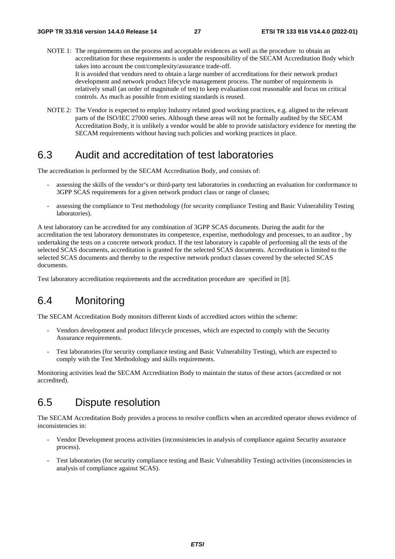- NOTE 1: The requirements on the process and acceptable evidences as well as the procedure to obtain an accreditation for these requirements is under the responsibility of the SECAM Accreditation Body which takes into account the cost/complexity/assurance trade-off. It is avoided that vendors need to obtain a large number of accreditations for their network product development and network product lifecycle management process. The number of requirements is relatively small (an order of magnitude of ten) to keep evaluation cost reasonable and focus on critical controls. As much as possible from existing standards is reused.
- NOTE 2: The Vendor is expected to employ Industry related good working practices, e.g. aligned to the relevant parts of the ISO/IEC 27000 series. Although these areas will not be formally audited by the SECAM Accreditation Body, it is unlikely a vendor would be able to provide satisfactory evidence for meeting the SECAM requirements without having such policies and working practices in place.

### 6.3 Audit and accreditation of test laboratories

The accreditation is performed by the SECAM Accreditation Body, and consists of:

- assessing the skills of the vendor's or third-party test laboratories in conducting an evaluation for conformance to 3GPP SCAS requirements for a given network product class or range of classes;
- assessing the compliance to Test methodology (for security compliance Testing and Basic Vulnerability Testing laboratories).

A test laboratory can be accredited for any combination of 3GPP SCAS documents. During the audit for the accreditation the test laboratory demonstrates its competence, expertise, methodology and processes, to an auditor , by undertaking the tests on a concrete network product. If the test laboratory is capable of performing all the tests of the selected SCAS documents, accreditation is granted for the selected SCAS documents. Accreditation is limited to the selected SCAS documents and thereby to the respective network product classes covered by the selected SCAS documents.

Test laboratory accreditation requirements and the accreditation procedure are specified in [8].

## 6.4 Monitoring

The SECAM Accreditation Body monitors different kinds of accredited actors within the scheme:

- Vendors development and product lifecycle processes, which are expected to comply with the Security Assurance requirements.
- Test laboratories (for security compliance testing and Basic Vulnerability Testing), which are expected to comply with the Test Methodology and skills requirements.

Monitoring activities lead the SECAM Accreditation Body to maintain the status of these actors (accredited or not accredited).

### 6.5 Dispute resolution

The SECAM Accreditation Body provides a process to resolve conflicts when an accredited operator shows evidence of inconsistencies in:

- Vendor Development process activities (inconsistencies in analysis of compliance against Security assurance process).
- Test laboratories (for security compliance testing and Basic Vulnerability Testing) activities (inconsistencies in analysis of compliance against SCAS).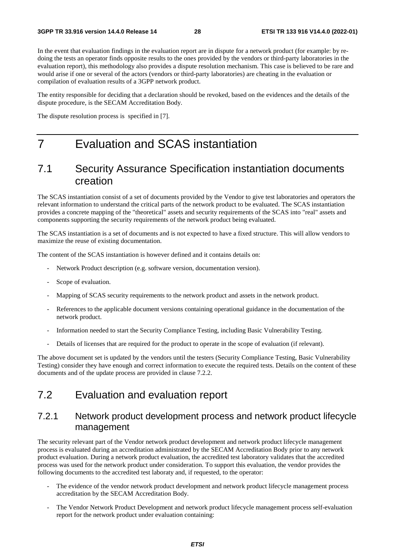In the event that evaluation findings in the evaluation report are in dispute for a network product (for example: by redoing the tests an operator finds opposite results to the ones provided by the vendors or third-party laboratories in the evaluation report), this methodology also provides a dispute resolution mechanism. This case is believed to be rare and would arise if one or several of the actors (vendors or third-party laboratories) are cheating in the evaluation or compilation of evaluation results of a 3GPP network product.

The entity responsible for deciding that a declaration should be revoked, based on the evidences and the details of the dispute procedure, is the SECAM Accreditation Body.

The dispute resolution process is specified in [7].

## 7 Evaluation and SCAS instantiation

### 7.1 Security Assurance Specification instantiation documents creation

The SCAS instantiation consist of a set of documents provided by the Vendor to give test laboratories and operators the relevant information to understand the critical parts of the network product to be evaluated. The SCAS instantiation provides a concrete mapping of the "theoretical" assets and security requirements of the SCAS into "real" assets and components supporting the security requirements of the network product being evaluated.

The SCAS instantiation is a set of documents and is not expected to have a fixed structure. This will allow vendors to maximize the reuse of existing documentation.

The content of the SCAS instantiation is however defined and it contains details on:

- Network Product description (e.g. software version, documentation version).
- Scope of evaluation.
- Mapping of SCAS security requirements to the network product and assets in the network product.
- References to the applicable document versions containing operational guidance in the documentation of the network product.
- Information needed to start the Security Compliance Testing, including Basic Vulnerability Testing.
- Details of licenses that are required for the product to operate in the scope of evaluation (if relevant).

The above document set is updated by the vendors until the testers (Security Compliance Testing, Basic Vulnerability Testing) consider they have enough and correct information to execute the required tests. Details on the content of these documents and of the update process are provided in clause 7.2.2.

### 7.2 Evaluation and evaluation report

### 7.2.1 Network product development process and network product lifecycle management

The security relevant part of the Vendor network product development and network product lifecycle management process is evaluated during an accreditation administrated by the SECAM Accreditation Body prior to any network product evaluation. During a network product evaluation, the accredited test laboratory validates that the accredited process was used for the network product under consideration. To support this evaluation, the vendor provides the following documents to the accredited test laboraty and, if requested, to the operator:

- The evidence of the vendor network product development and network product lifecycle management process accreditation by the SECAM Accreditation Body.
- The Vendor Network Product Development and network product lifecycle management process self-evaluation report for the network product under evaluation containing: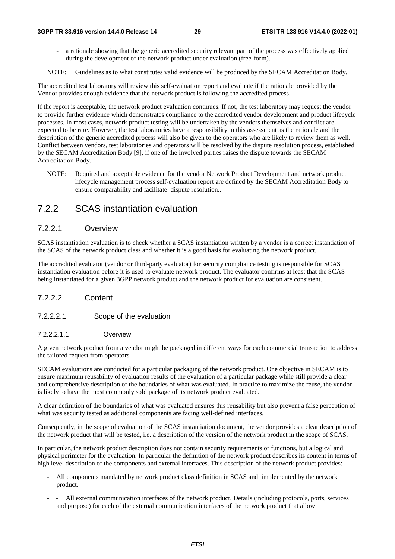a rationale showing that the generic accredited security relevant part of the process was effectively applied during the development of the network product under evaluation (free-form).

NOTE: Guidelines as to what constitutes valid evidence will be produced by the SECAM Accreditation Body.

The accredited test laboratory will review this self-evaluation report and evaluate if the rationale provided by the Vendor provides enough evidence that the network product is following the accredited process.

If the report is acceptable, the network product evaluation continues. If not, the test laboratory may request the vendor to provide further evidence which demonstrates compliance to the accredited vendor development and product lifecycle processes. In most cases, network product testing will be undertaken by the vendors themselves and conflict are expected to be rare. However, the test laboratories have a responsibility in this assessment as the rationale and the description of the generic accredited process will also be given to the operators who are likely to review them as well. Conflict between vendors, test laboratories and operators will be resolved by the dispute resolution process, established by the SECAM Accreditation Body [9], if one of the involved parties raises the dispute towards the SECAM Accreditation Body.

NOTE: Required and acceptable evidence for the vendor Network Product Development and network product lifecycle management process self-evaluation report are defined by the SECAM Accreditation Body to ensure comparability and facilitate dispute resolution..

### 7.2.2 SCAS instantiation evaluation

#### 7.2.2.1 Overview

SCAS instantiation evaluation is to check whether a SCAS instantiation written by a vendor is a correct instantiation of the SCAS of the network product class and whether it is a good basis for evaluating the network product.

The accredited evaluator (vendor or third-party evaluator) for security compliance testing is responsible for SCAS instantiation evaluation before it is used to evaluate network product. The evaluator confirms at least that the SCAS being instantiated for a given 3GPP network product and the network product for evaluation are consistent.

#### 7.2.2.2 Content

#### 7.2.2.2.1 Scope of the evaluation

#### 7.2.2.2.1.1 Overview

A given network product from a vendor might be packaged in different ways for each commercial transaction to address the tailored request from operators.

SECAM evaluations are conducted for a particular packaging of the network product. One objective in SECAM is to ensure maximum reusability of evaluation results of the evaluation of a particular package while still provide a clear and comprehensive description of the boundaries of what was evaluated. In practice to maximize the reuse, the vendor is likely to have the most commonly sold package of its network product evaluated.

A clear definition of the boundaries of what was evaluated ensures this reusability but also prevent a false perception of what was security tested as additional components are facing well-defined interfaces.

Consequently, in the scope of evaluation of the SCAS instantiation document, the vendor provides a clear description of the network product that will be tested, i.e. a description of the version of the network product in the scope of SCAS.

In particular, the network product description does not contain security requirements or functions, but a logical and physical perimeter for the evaluation. In particular the definition of the network product describes its content in terms of high level description of the components and external interfaces. This description of the network product provides:

- All components mandated by network product class definition in SCAS and implemented by the network product.
- All external communication interfaces of the network product. Details (including protocols, ports, services and purpose) for each of the external communication interfaces of the network product that allow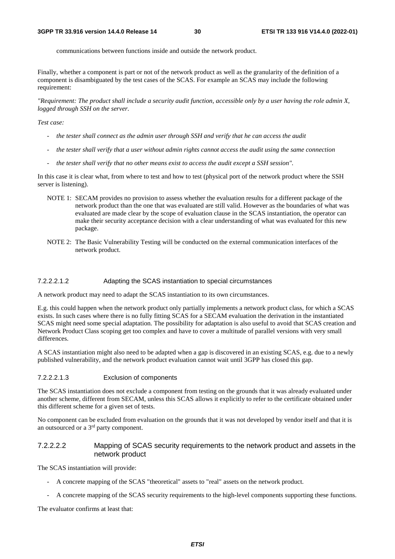communications between functions inside and outside the network product.

Finally, whether a component is part or not of the network product as well as the granularity of the definition of a component is disambiguated by the test cases of the SCAS. For example an SCAS may include the following requirement:

*"Requirement: The product shall include a security audit function, accessible only by a user having the role admin X, logged through SSH on the server.* 

#### *Test case:*

- *the tester shall connect as the admin user through SSH and verify that he can access the audit*
- *the tester shall verify that a user without admin rights cannot access the audit using the same connection*
- *the tester shall verify that no other means exist to access the audit except a SSH session".*

In this case it is clear what, from where to test and how to test (physical port of the network product where the SSH server is listening).

- NOTE 1: SECAM provides no provision to assess whether the evaluation results for a different package of the network product than the one that was evaluated are still valid. However as the boundaries of what was evaluated are made clear by the scope of evaluation clause in the SCAS instantiation, the operator can make their security acceptance decision with a clear understanding of what was evaluated for this new package.
- NOTE 2: The Basic Vulnerability Testing will be conducted on the external communication interfaces of the network product.

#### 7.2.2.2.1.2 Adapting the SCAS instantiation to special circumstances

A network product may need to adapt the SCAS instantiation to its own circumstances.

E.g. this could happen when the network product only partially implements a network product class, for which a SCAS exists. In such cases where there is no fully fitting SCAS for a SECAM evaluation the derivation in the instantiated SCAS might need some special adaptation. The possibility for adaptation is also useful to avoid that SCAS creation and Network Product Class scoping get too complex and have to cover a multitude of parallel versions with very small differences.

A SCAS instantiation might also need to be adapted when a gap is discovered in an existing SCAS, e.g. due to a newly published vulnerability, and the network product evaluation cannot wait until 3GPP has closed this gap.

#### 7.2.2.2.1.3 Exclusion of components

The SCAS instantiation does not exclude a component from testing on the grounds that it was already evaluated under another scheme, different from SECAM, unless this SCAS allows it explicitly to refer to the certificate obtained under this different scheme for a given set of tests.

No component can be excluded from evaluation on the grounds that it was not developed by vendor itself and that it is an outsourced or a 3rd party component.

#### 7.2.2.2.2 Mapping of SCAS security requirements to the network product and assets in the network product

The SCAS instantiation will provide:

- A concrete mapping of the SCAS "theoretical" assets to "real" assets on the network product.
- A concrete mapping of the SCAS security requirements to the high-level components supporting these functions.

The evaluator confirms at least that: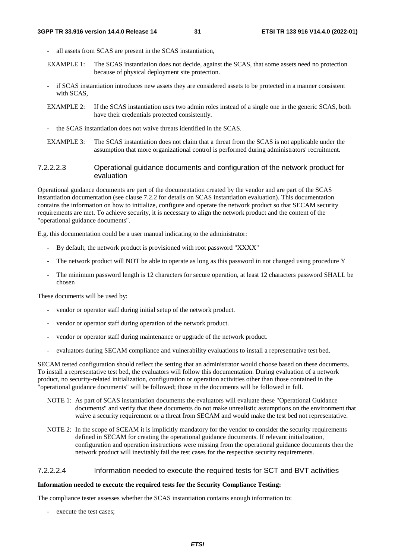- all assets from SCAS are present in the SCAS instantiation,
- EXAMPLE 1: The SCAS instantiation does not decide, against the SCAS, that some assets need no protection because of physical deployment site protection.
- if SCAS instantiation introduces new assets they are considered assets to be protected in a manner consistent with SCAS,
- EXAMPLE 2: If the SCAS instantiation uses two admin roles instead of a single one in the generic SCAS, both have their credentials protected consistently.
- the SCAS instantiation does not waive threats identified in the SCAS.
- EXAMPLE 3: The SCAS instantiation does not claim that a threat from the SCAS is not applicable under the assumption that more organizational control is performed during administrators' recruitment.

#### 7.2.2.2.3 Operational guidance documents and configuration of the network product for evaluation

Operational guidance documents are part of the documentation created by the vendor and are part of the SCAS instantiation documentation (see clause 7.2.2 for details on SCAS instantiation evaluation). This documentation contains the information on how to initialize, configure and operate the network product so that SECAM security requirements are met. To achieve security, it is necessary to align the network product and the content of the "operational guidance documents".

E.g. this documentation could be a user manual indicating to the administrator:

- By default, the network product is provisioned with root password "XXXX"
- The network product will NOT be able to operate as long as this password in not changed using procedure Y
- The minimum password length is 12 characters for secure operation, at least 12 characters password SHALL be chosen

These documents will be used by:

- vendor or operator staff during initial setup of the network product.
- vendor or operator staff during operation of the network product.
- vendor or operator staff during maintenance or upgrade of the network product.
- evaluators during SECAM compliance and vulnerability evaluations to install a representative test bed.

SECAM tested configuration should reflect the setting that an administrator would choose based on these documents. To install a representative test bed, the evaluators will follow this documentation. During evaluation of a network product, no security-related initialization, configuration or operation activities other than those contained in the "operational guidance documents" will be followed; those in the documents will be followed in full.

- NOTE 1: As part of SCAS instantiation documents the evaluators will evaluate these "Operational Guidance documents" and verify that these documents do not make unrealistic assumptions on the environment that waive a security requirement or a threat from SECAM and would make the test bed not representative.
- NOTE 2: In the scope of SCEAM it is implicitly mandatory for the vendor to consider the security requirements defined in SECAM for creating the operational guidance documents. If relevant initialization, configuration and operation instructions were missing from the operational guidance documents then the network product will inevitably fail the test cases for the respective security requirements.

#### 7.2.2.2.4 Information needed to execute the required tests for SCT and BVT activities

#### **Information needed to execute the required tests for the Security Compliance Testing:**

The compliance tester assesses whether the SCAS instantiation contains enough information to:

execute the test cases;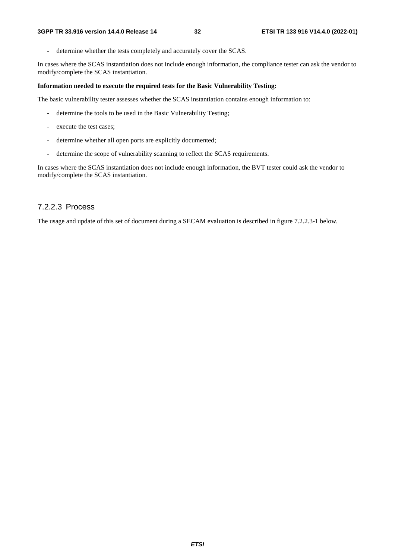- determine whether the tests completely and accurately cover the SCAS.

In cases where the SCAS instantiation does not include enough information, the compliance tester can ask the vendor to modify/complete the SCAS instantiation.

#### **Information needed to execute the required tests for the Basic Vulnerability Testing:**

The basic vulnerability tester assesses whether the SCAS instantiation contains enough information to:

- determine the tools to be used in the Basic Vulnerability Testing;
- execute the test cases;
- determine whether all open ports are explicitly documented;
- determine the scope of vulnerability scanning to reflect the SCAS requirements.

In cases where the SCAS instantiation does not include enough information, the BVT tester could ask the vendor to modify/complete the SCAS instantiation.

#### 7.2.2.3 Process

The usage and update of this set of document during a SECAM evaluation is described in figure 7.2.2.3-1 below.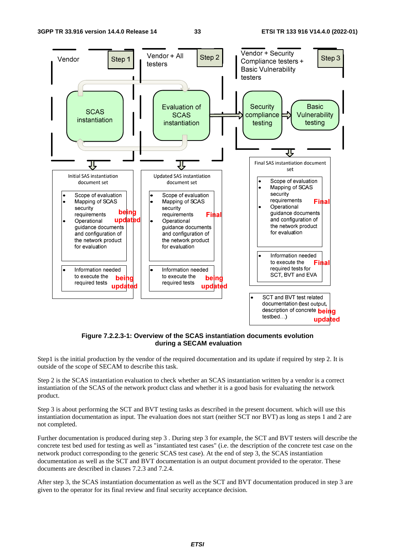

**Figure 7.2.2.3-1: Overview of the SCAS instantiation documents evolution during a SECAM evaluation** 

Step1 is the initial production by the vendor of the required documentation and its update if required by step 2. It is outside of the scope of SECAM to describe this task.

Step 2 is the SCAS instantiation evaluation to check whether an SCAS instantiation written by a vendor is a correct instantiation of the SCAS of the network product class and whether it is a good basis for evaluating the network product.

Step 3 is about performing the SCT and BVT testing tasks as described in the present document. which will use this instantiation documentation as input. The evaluation does not start (neither SCT nor BVT) as long as steps 1 and 2 are not completed.

Further documentation is produced during step 3 . During step 3 for example, the SCT and BVT testers will describe the concrete test bed used for testing as well as "instantiated test cases" (i.e. the description of the concrete test case on the network product corresponding to the generic SCAS test case). At the end of step 3, the SCAS instantiation documentation as well as the SCT and BVT documentation is an output document provided to the operator. These documents are described in clauses 7.2.3 and 7.2.4.

After step 3, the SCAS instantiation documentation as well as the SCT and BVT documentation produced in step 3 are given to the operator for its final review and final security acceptance decision.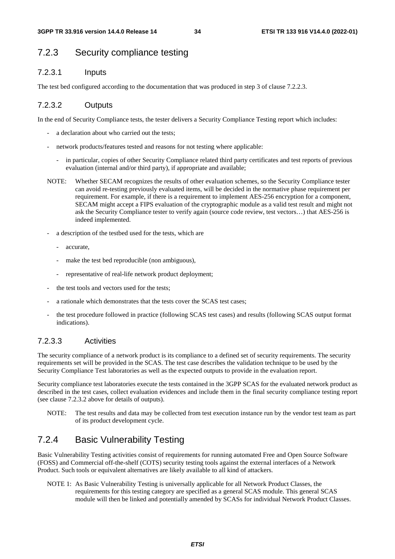### 7.2.3 Security compliance testing

#### 7.2.3.1 Inputs

The test bed configured according to the documentation that was produced in step 3 of clause 7.2.2.3.

#### 7.2.3.2 Outputs

In the end of Security Compliance tests, the tester delivers a Security Compliance Testing report which includes:

- a declaration about who carried out the tests;
- network products/features tested and reasons for not testing where applicable:
	- in particular, copies of other Security Compliance related third party certificates and test reports of previous evaluation (internal and/or third party), if appropriate and available;
- NOTE: Whether SECAM recognizes the results of other evaluation schemes, so the Security Compliance tester can avoid re-testing previously evaluated items, will be decided in the normative phase requirement per requirement. For example, if there is a requirement to implement AES-256 encryption for a component, SECAM might accept a FIPS evaluation of the cryptographic module as a valid test result and might not ask the Security Compliance tester to verify again (source code review, test vectors…) that AES-256 is indeed implemented.
- a description of the testbed used for the tests, which are
	- accurate,
	- make the test bed reproducible (non ambiguous),
	- representative of real-life network product deployment;
- the test tools and vectors used for the tests:
- a rationale which demonstrates that the tests cover the SCAS test cases;
- the test procedure followed in practice (following SCAS test cases) and results (following SCAS output format indications).

#### 7.2.3.3 Activities

The security compliance of a network product is its compliance to a defined set of security requirements. The security requirements set will be provided in the SCAS. The test case describes the validation technique to be used by the Security Compliance Test laboratories as well as the expected outputs to provide in the evaluation report.

Security compliance test laboratories execute the tests contained in the 3GPP SCAS for the evaluated network product as described in the test cases, collect evaluation evidences and include them in the final security compliance testing report (see clause 7.2.3.2 above for details of outputs).

NOTE: The test results and data may be collected from test execution instance run by the vendor test team as part of its product development cycle.

### 7.2.4 Basic Vulnerability Testing

Basic Vulnerability Testing activities consist of requirements for running automated Free and Open Source Software (FOSS) and Commercial off-the-shelf (COTS) security testing tools against the external interfaces of a Network Product. Such tools or equivalent alternatives are likely available to all kind of attackers.

NOTE 1: As Basic Vulnerability Testing is universally applicable for all Network Product Classes, the requirements for this testing category are specified as a general SCAS module. This general SCAS module will then be linked and potentially amended by SCASs for individual Network Product Classes.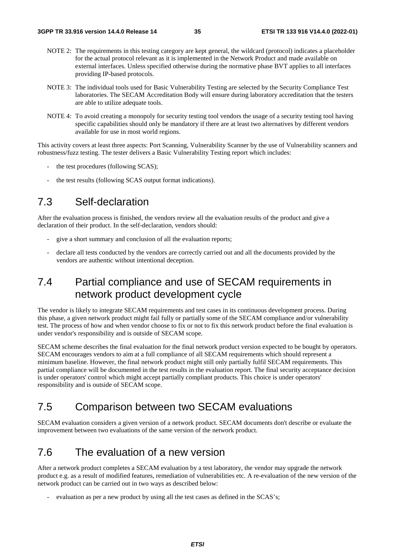- NOTE 2: The requirements in this testing category are kept general, the wildcard (protocol) indicates a placeholder for the actual protocol relevant as it is implemented in the Network Product and made available on external interfaces. Unless specified otherwise during the normative phase BVT applies to all interfaces providing IP-based protocols.
- NOTE 3: The individual tools used for Basic Vulnerability Testing are selected by the Security Compliance Test laboratories. The SECAM Accreditation Body will ensure during laboratory accreditation that the testers are able to utilize adequate tools.
- NOTE 4: To avoid creating a monopoly for security testing tool vendors the usage of a security testing tool having specific capabilities should only be mandatory if there are at least two alternatives by different vendors available for use in most world regions.

This activity covers at least three aspects: Port Scanning, Vulnerability Scanner by the use of Vulnerability scanners and robustness/fuzz testing. The tester delivers a Basic Vulnerability Testing report which includes:

- the test procedures (following SCAS);
- the test results (following SCAS output format indications).

## 7.3 Self-declaration

After the evaluation process is finished, the vendors review all the evaluation results of the product and give a declaration of their product. In the self-declaration, vendors should:

- give a short summary and conclusion of all the evaluation reports;
- declare all tests conducted by the vendors are correctly carried out and all the documents provided by the vendors are authentic without intentional deception.

## 7.4 Partial compliance and use of SECAM requirements in network product development cycle

The vendor is likely to integrate SECAM requirements and test cases in its continuous development process. During this phase, a given network product might fail fully or partially some of the SECAM compliance and/or vulnerability test. The process of how and when vendor choose to fix or not to fix this network product before the final evaluation is under vendor's responsibility and is outside of SECAM scope.

SECAM scheme describes the final evaluation for the final network product version expected to be bought by operators. SECAM encourages vendors to aim at a full compliance of all SECAM requirements which should represent a minimum baseline. However, the final network product might still only partially fulfil SECAM requirements. This partial compliance will be documented in the test results in the evaluation report. The final security acceptance decision is under operators' control which might accept partially compliant products. This choice is under operators' responsibility and is outside of SECAM scope.

## 7.5 Comparison between two SECAM evaluations

SECAM evaluation considers a given version of a network product. SECAM documents don't describe or evaluate the improvement between two evaluations of the same version of the network product.

## 7.6 The evaluation of a new version

After a network product completes a SECAM evaluation by a test laboratory, the vendor may upgrade the network product e.g. as a result of modified features, remediation of vulnerabilities etc. A re-evaluation of the new version of the network product can be carried out in two ways as described below:

evaluation as per a new product by using all the test cases as defined in the SCAS's;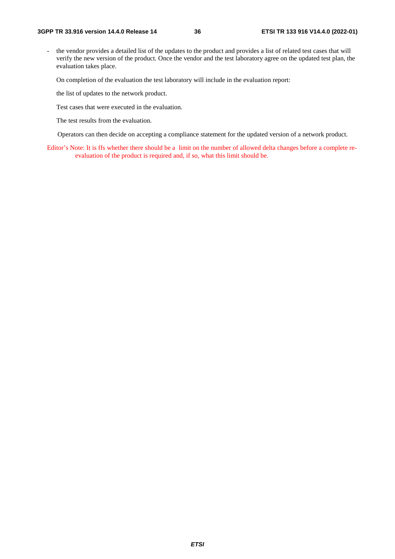- the vendor provides a detailed list of the updates to the product and provides a list of related test cases that will verify the new version of the product. Once the vendor and the test laboratory agree on the updated test plan, the evaluation takes place.

On completion of the evaluation the test laboratory will include in the evaluation report:

the list of updates to the network product.

Test cases that were executed in the evaluation.

The test results from the evaluation.

Operators can then decide on accepting a compliance statement for the updated version of a network product.

Editor's Note: It is ffs whether there should be a limit on the number of allowed delta changes before a complete reevaluation of the product is required and, if so, what this limit should be.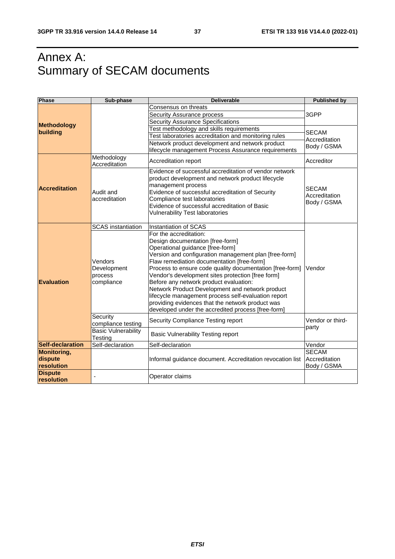## Annex A: Summary of SECAM documents

| <b>Phase</b>                                | Sub-phase                                                    | <b>Deliverable</b>                                                                                                                                                                                                                                                                                                                                                                                                                                                                                                                                                                   | <b>Published by</b>                          |  |
|---------------------------------------------|--------------------------------------------------------------|--------------------------------------------------------------------------------------------------------------------------------------------------------------------------------------------------------------------------------------------------------------------------------------------------------------------------------------------------------------------------------------------------------------------------------------------------------------------------------------------------------------------------------------------------------------------------------------|----------------------------------------------|--|
|                                             |                                                              | Consensus on threats                                                                                                                                                                                                                                                                                                                                                                                                                                                                                                                                                                 |                                              |  |
|                                             |                                                              | <b>Security Assurance process</b>                                                                                                                                                                                                                                                                                                                                                                                                                                                                                                                                                    | 3GPP                                         |  |
| <b>Methodology</b>                          |                                                              | <b>Security Assurance Specifications</b>                                                                                                                                                                                                                                                                                                                                                                                                                                                                                                                                             |                                              |  |
| building                                    |                                                              | Test methodology and skills requirements                                                                                                                                                                                                                                                                                                                                                                                                                                                                                                                                             | <b>SECAM</b>                                 |  |
|                                             |                                                              | Test laboratories accreditation and monitoring rules                                                                                                                                                                                                                                                                                                                                                                                                                                                                                                                                 | Accreditation                                |  |
|                                             |                                                              | Network product development and network product                                                                                                                                                                                                                                                                                                                                                                                                                                                                                                                                      | Body / GSMA                                  |  |
|                                             |                                                              | lifecycle management Process Assurance requirements                                                                                                                                                                                                                                                                                                                                                                                                                                                                                                                                  |                                              |  |
|                                             | Methodology<br>Accreditation                                 | Accreditation report                                                                                                                                                                                                                                                                                                                                                                                                                                                                                                                                                                 | Accreditor                                   |  |
| <b>Accreditation</b>                        | Audit and<br>accreditation                                   | Evidence of successful accreditation of vendor network<br>product development and network product lifecycle<br>management process<br>Evidence of successful accreditation of Security<br>Compliance test laboratories                                                                                                                                                                                                                                                                                                                                                                | <b>SECAM</b><br>Accreditation                |  |
|                                             |                                                              | Evidence of successful accreditation of Basic<br><b>Vulnerability Test laboratories</b>                                                                                                                                                                                                                                                                                                                                                                                                                                                                                              | Body / GSMA                                  |  |
|                                             | <b>SCAS</b> instantiation                                    | Instantiation of SCAS                                                                                                                                                                                                                                                                                                                                                                                                                                                                                                                                                                |                                              |  |
| Evaluation                                  | Vendors<br>Development<br>process<br>compliance              | For the accreditation:<br>Design documentation [free-form]<br>Operational guidance [free-form]<br>Version and configuration management plan [free-form]<br>Flaw remediation documentation [free-form]<br>Process to ensure code quality documentation [free-form]<br>Vendor's development sites protection [free form]<br>Before any network product evaluation:<br>Network Product Development and network product<br>lifecycle management process self-evaluation report<br>providing evidences that the network product was<br>developed under the accredited process [free-form] | Vendor                                       |  |
|                                             | Security<br>compliance testing<br><b>Basic Vulnerability</b> | Security Compliance Testing report                                                                                                                                                                                                                                                                                                                                                                                                                                                                                                                                                   | Vendor or third-<br>party                    |  |
|                                             | Testing                                                      | <b>Basic Vulnerability Testing report</b>                                                                                                                                                                                                                                                                                                                                                                                                                                                                                                                                            |                                              |  |
| <b>Self-declaration</b>                     | Self-declaration                                             | Self-declaration                                                                                                                                                                                                                                                                                                                                                                                                                                                                                                                                                                     | Vendor                                       |  |
| <b>Monitoring,</b><br>dispute<br>resolution |                                                              | Informal guidance document. Accreditation revocation list                                                                                                                                                                                                                                                                                                                                                                                                                                                                                                                            | <b>SECAM</b><br>Accreditation<br>Body / GSMA |  |
| <b>Dispute</b><br>resolution                |                                                              | Operator claims                                                                                                                                                                                                                                                                                                                                                                                                                                                                                                                                                                      |                                              |  |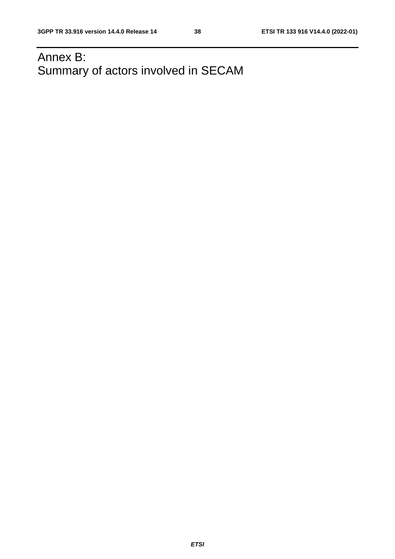## Annex B: Summary of actors involved in SECAM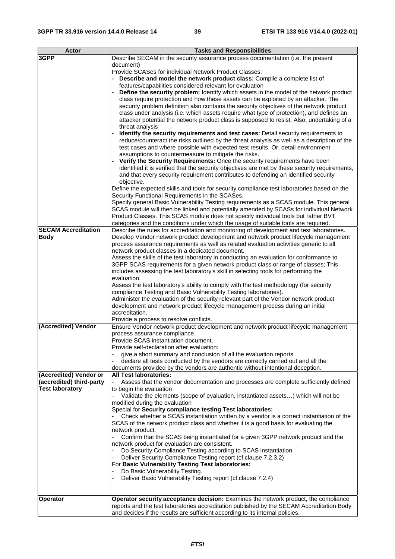| <b>Actor</b>               | <b>Tasks and Responsibilities</b>                                                                                                                                                 |
|----------------------------|-----------------------------------------------------------------------------------------------------------------------------------------------------------------------------------|
| 3GPP                       | Describe SECAM in the security assurance process documentation (i.e. the present                                                                                                  |
|                            | document)                                                                                                                                                                         |
|                            | Provide SCASes for individual Network Product Classes:                                                                                                                            |
|                            | Describe and model the network product class: Compile a complete list of                                                                                                          |
|                            | features/capabilities considered relevant for evaluation                                                                                                                          |
|                            | Define the security problem: Identify which assets in the model of the network product                                                                                            |
|                            | class require protection and how these assets can be exploited by an attacker. The                                                                                                |
|                            | security problem definition also contains the security objectives of the network product                                                                                          |
|                            | class under analysis (i.e. which assets require what type of protection), and defines an                                                                                          |
|                            | attacker potential the network product class is supposed to resist. Also, undertaking of a                                                                                        |
|                            | threat analysis                                                                                                                                                                   |
|                            | Identify the security requirements and test cases: Detail security requirements to<br>reduce/counteract the risks outlined by the threat analysis as well as a description of the |
|                            | test cases and where possible with expected test results. Or, detail environment                                                                                                  |
|                            | assumptions to countermeasure to mitigate the risks.                                                                                                                              |
|                            | Verify the Security Requirements: Once the security requirements have been                                                                                                        |
|                            | identified it is verified that the security objectives are met by these security requirements,                                                                                    |
|                            | and that every security requirement contributes to defending an identified security                                                                                               |
|                            | objective.                                                                                                                                                                        |
|                            | Define the expected skills and tools for security compliance test laboratories based on the                                                                                       |
|                            | Security Functional Requirements in the SCASes.                                                                                                                                   |
|                            | Specify general Basic Vulnerability Testing requirements as a SCAS module. This general                                                                                           |
|                            | SCAS module will then be linked and potentially amended by SCASs for individual Network                                                                                           |
|                            | Product Classes. This SCAS module does not specify individual tools but rather BVT                                                                                                |
|                            | categories and the conditions under which the usage of suitable tools are required.                                                                                               |
| <b>SECAM Accreditation</b> | Describe the rules for accreditation and monitoring of development and test laboratories.                                                                                         |
| <b>Body</b>                | Develop Vendor network product development and network product lifecycle management                                                                                               |
|                            | process assurance requirements as well as related evaluation activities generic to all<br>network product classes in a dedicated document.                                        |
|                            | Assess the skills of the test laboratory in conducting an evaluation for conformance to                                                                                           |
|                            | 3GPP SCAS requirements for a given network product class or range of classes; This                                                                                                |
|                            | includes assessing the test laboratory's skill in selecting tools for performing the                                                                                              |
|                            | evaluation.                                                                                                                                                                       |
|                            | Assess the test laboratory's ability to comply with the test methodology (for security                                                                                            |
|                            | compliance Testing and Basic Vulnerability Testing laboratories).                                                                                                                 |
|                            | Administer the evaluation of the security relevant part of the Vendor network product                                                                                             |
|                            | development and network product lifecycle management process during an initial                                                                                                    |
|                            | accreditation.                                                                                                                                                                    |
|                            | Provide a process to resolve conflicts.                                                                                                                                           |
| (Accredited) Vendor        | Ensure Vendor network product development and network product lifecycle management                                                                                                |
|                            | process assurance compliance.                                                                                                                                                     |
|                            | Provide SCAS instantiation document.<br>Provide self-declaration after evaluation:                                                                                                |
|                            | give a short summary and conclusion of all the evaluation reports                                                                                                                 |
|                            | declare all tests conducted by the vendors are correctly carried out and all the                                                                                                  |
|                            | documents provided by the vendors are authentic without intentional deception.                                                                                                    |
| (Accredited) Vendor or     | <b>All Test laboratories:</b>                                                                                                                                                     |
| (accredited) third-party   | Assess that the vendor documentation and processes are complete sufficiently defined                                                                                              |
| <b>Test laboratory</b>     | to begin the evaluation                                                                                                                                                           |
|                            | Validate the elements (scope of evaluation, instantiated assets) which will not be                                                                                                |
|                            | modified during the evaluation                                                                                                                                                    |
|                            | Special for Security compliance testing Test laboratories:                                                                                                                        |
|                            | Check whether a SCAS instantiation written by a vendor is a correct instantiation of the                                                                                          |
|                            | SCAS of the network product class and whether it is a good basis for evaluating the                                                                                               |
|                            | network product.                                                                                                                                                                  |
|                            | Confirm that the SCAS being instantiated for a given 3GPP network product and the<br>network product for evaluation are consistent.                                               |
|                            | Do Security Compliance Testing according to SCAS instantiation.                                                                                                                   |
|                            | Deliver Security Compliance Testing report (cf.clause 7.2.3.2)                                                                                                                    |
|                            | For Basic Vulnerability Testing Test laboratories:                                                                                                                                |
|                            | Do Basic Vulnerability Testing.                                                                                                                                                   |
|                            | Deliver Basic Vulnerability Testing report (cf.clause 7.2.4)                                                                                                                      |
|                            |                                                                                                                                                                                   |
|                            |                                                                                                                                                                                   |
| <b>Operator</b>            | Operator security acceptance decision: Examines the network product, the compliance                                                                                               |
|                            | reports and the test laboratories accreditation published by the SECAM Accreditation Body                                                                                         |
|                            | and decides if the results are sufficient according to its internal policies.                                                                                                     |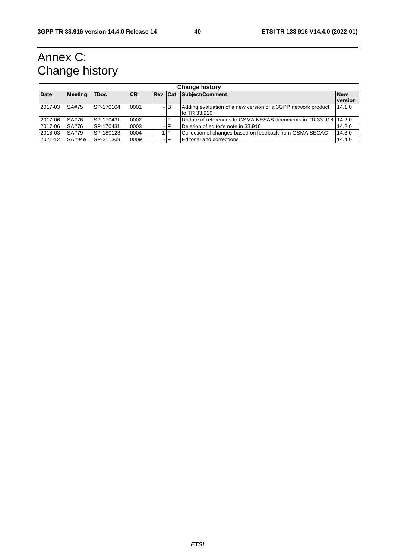## Annex C: Change history

| <b>Change history</b> |                |             |            |                |     |                                                                              |                       |
|-----------------------|----------------|-------------|------------|----------------|-----|------------------------------------------------------------------------------|-----------------------|
| <b>Date</b>           | <b>Meeting</b> | <b>TDoc</b> | <b>ICR</b> | <b>Rev Cat</b> |     | Subject/Comment                                                              | <b>New</b><br>version |
| 2017-03               | SA#75          | SP-170104   | 0001       |                | -IB | Adding evaluation of a new version of a 3GPP network product<br>to TR 33.916 | 14.1.0                |
| 2017-06               | SA#76          | SP-170431   | 0002       |                | ∣⊏  | Update of references to GSMA NESAS documents in TR 33.916 14.2.0             |                       |
| 2017-06               | SA#76          | SP-170431   | 0003       |                | ∣⊏  | Deletion of editor's note in 33.916                                          | 14.2.0                |
| 2018-03               | SA#79          | SP-180123   | 0004       |                | IF  | Collection of changes based on feedback from GSMA SECAG                      | 14.3.0                |
| 2021-12               | SA#94e         | SP-211369   | 0009       |                | E   | <b>Editorial and corrections</b>                                             | 14.4.0                |